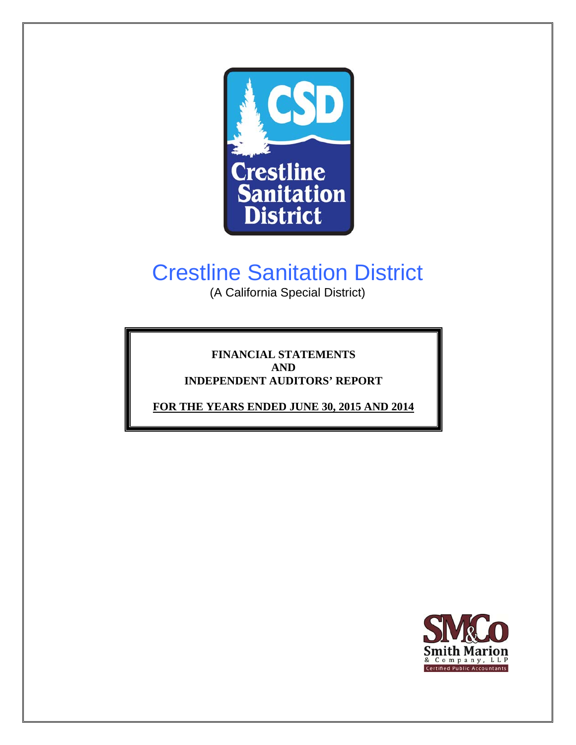

(A California Special District)

**FINANCIAL STATEMENTS AND INDEPENDENT AUDITORS' REPORT** 

**FOR THE YEARS ENDED JUNE 30, 2015 AND 2014** 

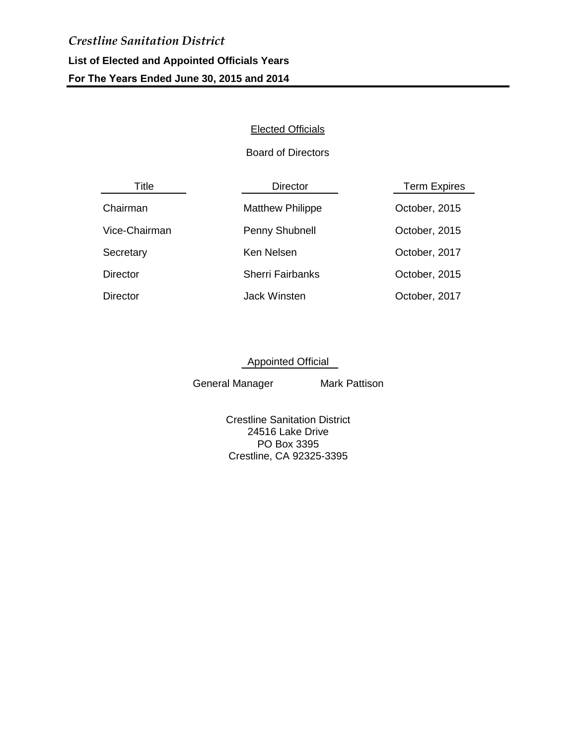### Elected Officials

### Board of Directors

| Title           | Director                | <b>Term Expires</b> |
|-----------------|-------------------------|---------------------|
| Chairman        | <b>Matthew Philippe</b> | October, 2015       |
| Vice-Chairman   | Penny Shubnell          | October, 2015       |
| Secretary       | Ken Nelsen              | October, 2017       |
| <b>Director</b> | <b>Sherri Fairbanks</b> | October, 2015       |
| Director        | Jack Winsten            | October, 2017       |

Appointed Official

General Manager Mark Pattison

Crestline Sanitation District 24516 Lake Drive PO Box 3395 Crestline, CA 92325-3395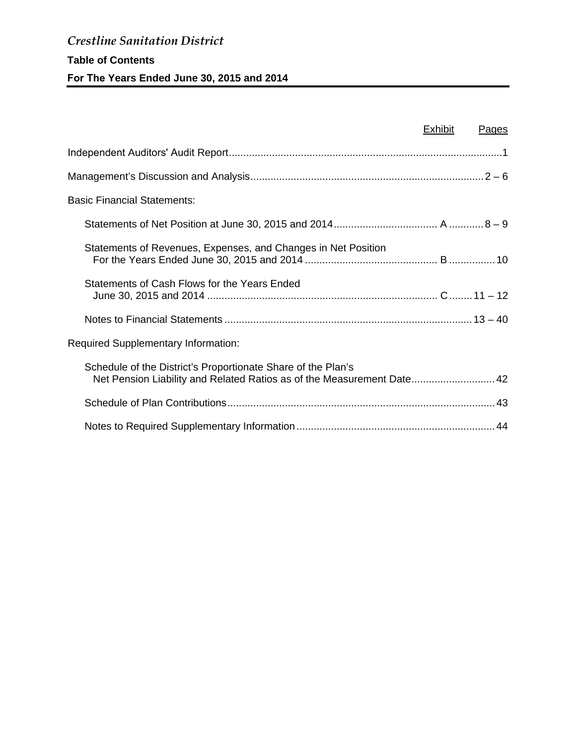# *Crestline Sanitation District* **Table of Contents For The Years Ended June 30, 2015 and 2014**

|                                                                                                                                        | Exhibit | Pages |
|----------------------------------------------------------------------------------------------------------------------------------------|---------|-------|
|                                                                                                                                        |         |       |
|                                                                                                                                        |         |       |
| <b>Basic Financial Statements:</b>                                                                                                     |         |       |
|                                                                                                                                        |         |       |
| Statements of Revenues, Expenses, and Changes in Net Position                                                                          |         |       |
| Statements of Cash Flows for the Years Ended                                                                                           |         |       |
|                                                                                                                                        |         |       |
| <b>Required Supplementary Information:</b>                                                                                             |         |       |
| Schedule of the District's Proportionate Share of the Plan's<br>Net Pension Liability and Related Ratios as of the Measurement Date 42 |         |       |
|                                                                                                                                        |         |       |
|                                                                                                                                        |         |       |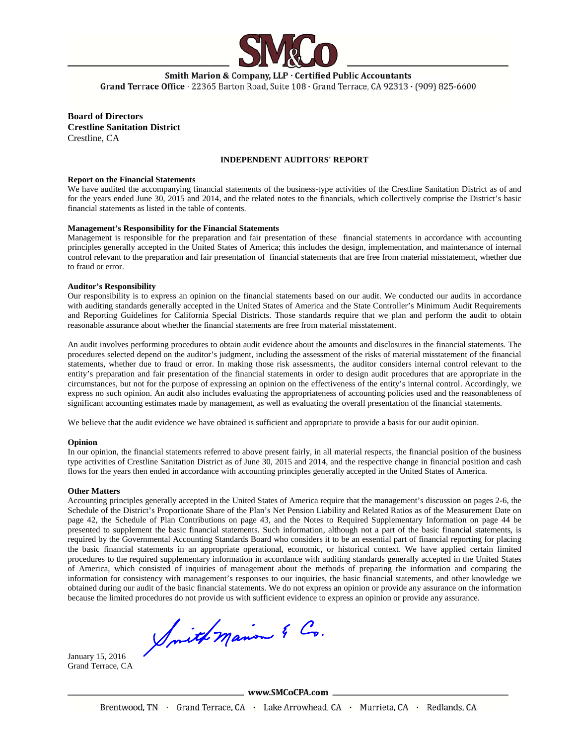

Smith Marion & Company, LLP · Certified Public Accountants Grand Terrace Office · 22365 Barton Road, Suite 108 · Grand Terrace, CA 92313 · (909) 825-6600

**Board of Directors Crestline Sanitation District**  Crestline, CA

#### **INDEPENDENT AUDITORS' REPORT**

#### **Report on the Financial Statements**

We have audited the accompanying financial statements of the business-type activities of the Crestline Sanitation District as of and for the years ended June 30, 2015 and 2014, and the related notes to the financials, which collectively comprise the District's basic financial statements as listed in the table of contents.

#### **Management's Responsibility for the Financial Statements**

Management is responsible for the preparation and fair presentation of these financial statements in accordance with accounting principles generally accepted in the United States of America; this includes the design, implementation, and maintenance of internal control relevant to the preparation and fair presentation of financial statements that are free from material misstatement, whether due to fraud or error.

#### **Auditor's Responsibility**

Our responsibility is to express an opinion on the financial statements based on our audit. We conducted our audits in accordance with auditing standards generally accepted in the United States of America and the State Controller's Minimum Audit Requirements and Reporting Guidelines for California Special Districts. Those standards require that we plan and perform the audit to obtain reasonable assurance about whether the financial statements are free from material misstatement.

An audit involves performing procedures to obtain audit evidence about the amounts and disclosures in the financial statements. The procedures selected depend on the auditor's judgment, including the assessment of the risks of material misstatement of the financial statements, whether due to fraud or error. In making those risk assessments, the auditor considers internal control relevant to the entity's preparation and fair presentation of the financial statements in order to design audit procedures that are appropriate in the circumstances, but not for the purpose of expressing an opinion on the effectiveness of the entity's internal control. Accordingly, we express no such opinion. An audit also includes evaluating the appropriateness of accounting policies used and the reasonableness of significant accounting estimates made by management, as well as evaluating the overall presentation of the financial statements.

We believe that the audit evidence we have obtained is sufficient and appropriate to provide a basis for our audit opinion.

#### **Opinion**

In our opinion, the financial statements referred to above present fairly, in all material respects, the financial position of the business type activities of Crestline Sanitation District as of June 30, 2015 and 2014, and the respective change in financial position and cash flows for the years then ended in accordance with accounting principles generally accepted in the United States of America.

#### **Other Matters**

Accounting principles generally accepted in the United States of America require that the management's discussion on pages 2-6, the Schedule of the District's Proportionate Share of the Plan's Net Pension Liability and Related Ratios as of the Measurement Date on page 42, the Schedule of Plan Contributions on page 43, and the Notes to Required Supplementary Information on page 44 be presented to supplement the basic financial statements. Such information, although not a part of the basic financial statements, is required by the Governmental Accounting Standards Board who considers it to be an essential part of financial reporting for placing the basic financial statements in an appropriate operational, economic, or historical context. We have applied certain limited procedures to the required supplementary information in accordance with auditing standards generally accepted in the United States of America, which consisted of inquiries of management about the methods of preparing the information and comparing the information for consistency with management's responses to our inquiries, the basic financial statements, and other knowledge we obtained during our audit of the basic financial statements. We do not express an opinion or provide any assurance on the information because the limited procedures do not provide us with sufficient evidence to express an opinion or provide any assurance.

Smith manion & Co.

January 15, 2016 Grand Terrace, CA

> www.SMCoCPA.com \_ Brentwood, TN · Grand Terrace, CA · Lake Arrowhead, CA · Murrieta, CA · Redlands, CA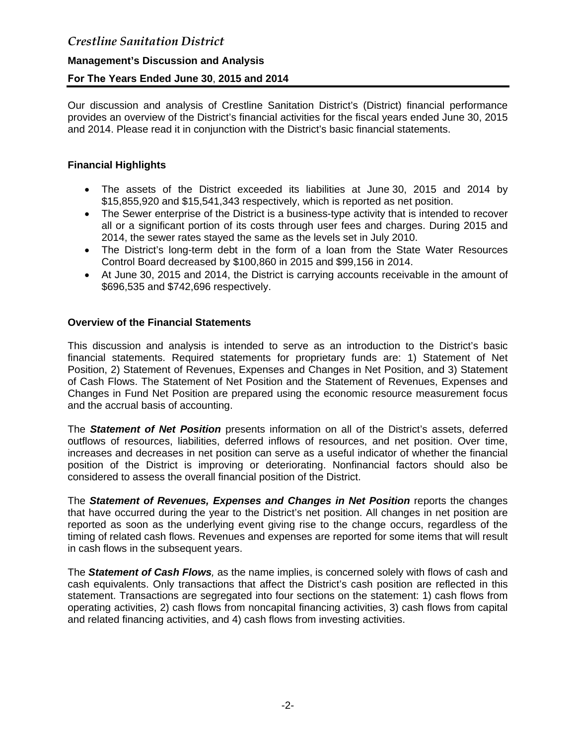#### **Management's Discussion and Analysis**

#### **For The Years Ended June 30**, **2015 and 2014**

Our discussion and analysis of Crestline Sanitation District's (District) financial performance provides an overview of the District's financial activities for the fiscal years ended June 30, 2015 and 2014. Please read it in conjunction with the District's basic financial statements.

#### **Financial Highlights**

- The assets of the District exceeded its liabilities at June 30, 2015 and 2014 by \$15,855,920 and \$15,541,343 respectively, which is reported as net position.
- The Sewer enterprise of the District is a business-type activity that is intended to recover all or a significant portion of its costs through user fees and charges. During 2015 and 2014, the sewer rates stayed the same as the levels set in July 2010.
- The District's long-term debt in the form of a loan from the State Water Resources Control Board decreased by \$100,860 in 2015 and \$99,156 in 2014.
- At June 30, 2015 and 2014, the District is carrying accounts receivable in the amount of \$696,535 and \$742,696 respectively.

#### **Overview of the Financial Statements**

This discussion and analysis is intended to serve as an introduction to the District's basic financial statements. Required statements for proprietary funds are: 1) Statement of Net Position, 2) Statement of Revenues, Expenses and Changes in Net Position, and 3) Statement of Cash Flows. The Statement of Net Position and the Statement of Revenues, Expenses and Changes in Fund Net Position are prepared using the economic resource measurement focus and the accrual basis of accounting.

The *Statement of Net Position* presents information on all of the District's assets, deferred outflows of resources, liabilities, deferred inflows of resources, and net position. Over time, increases and decreases in net position can serve as a useful indicator of whether the financial position of the District is improving or deteriorating. Nonfinancial factors should also be considered to assess the overall financial position of the District.

The **Statement of Revenues, Expenses and Changes in Net Position** reports the changes that have occurred during the year to the District's net position. All changes in net position are reported as soon as the underlying event giving rise to the change occurs, regardless of the timing of related cash flows. Revenues and expenses are reported for some items that will result in cash flows in the subsequent years.

The *Statement of Cash Flows,* as the name implies, is concerned solely with flows of cash and cash equivalents. Only transactions that affect the District's cash position are reflected in this statement. Transactions are segregated into four sections on the statement: 1) cash flows from operating activities, 2) cash flows from noncapital financing activities, 3) cash flows from capital and related financing activities, and 4) cash flows from investing activities.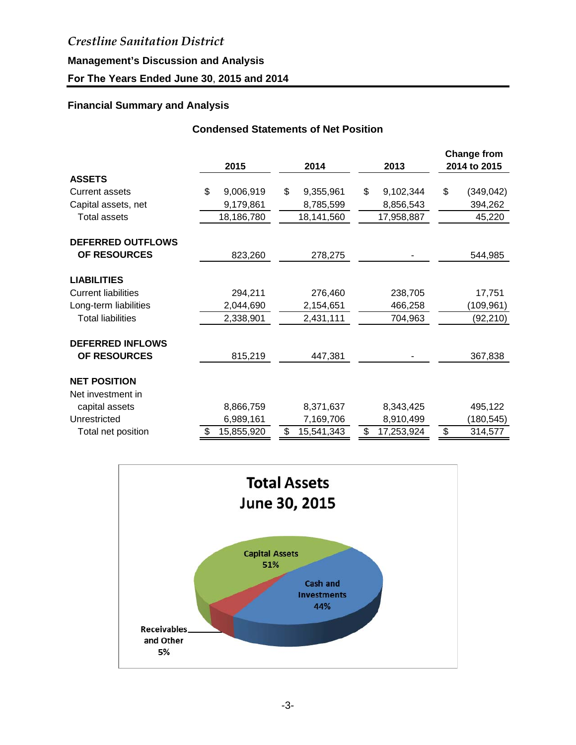### **Management's Discussion and Analysis**

### **For The Years Ended June 30**, **2015 and 2014**

### **Financial Summary and Analysis**

#### **Condensed Statements of Net Position**

|                            |                  |                  |                  |    | <b>Change from</b> |  |
|----------------------------|------------------|------------------|------------------|----|--------------------|--|
|                            | 2015             | 2014             | 2013             |    | 2014 to 2015       |  |
| <b>ASSETS</b>              |                  |                  |                  |    |                    |  |
| Current assets             | \$<br>9,006,919  | \$<br>9,355,961  | \$<br>9,102,344  | \$ | (349, 042)         |  |
| Capital assets, net        | 9,179,861        | 8,785,599        | 8,856,543        |    | 394,262            |  |
| <b>Total assets</b>        | 18,186,780       | 18,141,560       | 17,958,887       |    | 45,220             |  |
| <b>DEFERRED OUTFLOWS</b>   |                  |                  |                  |    |                    |  |
| OF RESOURCES               | 823,260          | 278,275          |                  |    | 544,985            |  |
| <b>LIABILITIES</b>         |                  |                  |                  |    |                    |  |
| <b>Current liabilities</b> | 294,211          | 276,460          | 238,705          |    | 17,751             |  |
| Long-term liabilities      | 2,044,690        | 2,154,651        | 466,258          |    | (109, 961)         |  |
| <b>Total liabilities</b>   | 2,338,901        | 2,431,111        | 704,963          |    | (92, 210)          |  |
| <b>DEFERRED INFLOWS</b>    |                  |                  |                  |    |                    |  |
| OF RESOURCES               | 815,219          | 447,381          |                  |    | 367,838            |  |
| <b>NET POSITION</b>        |                  |                  |                  |    |                    |  |
| Net investment in          |                  |                  |                  |    |                    |  |
| capital assets             | 8,866,759        | 8,371,637        | 8,343,425        |    | 495,122            |  |
| Unrestricted               | 6,989,161        | 7,169,706        | 8,910,499        |    | (180, 545)         |  |
| Total net position         | \$<br>15,855,920 | \$<br>15,541,343 | \$<br>17,253,924 | \$ | 314,577            |  |

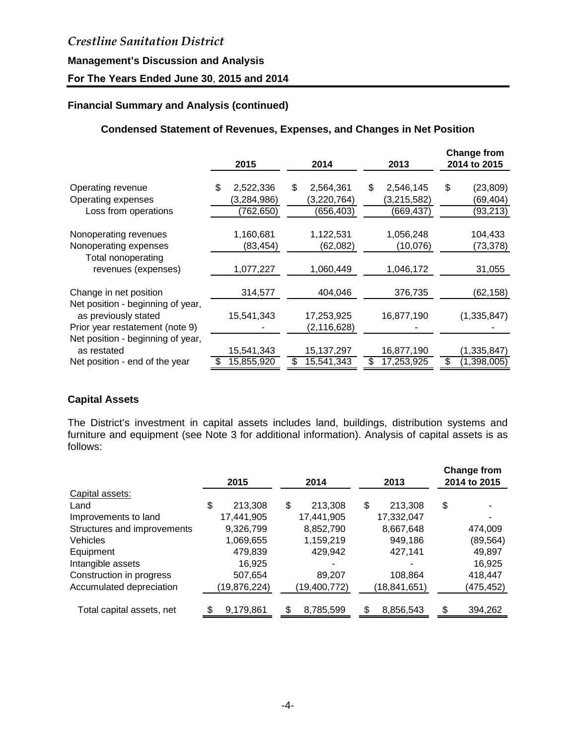### **Management's Discussion and Analysis**

#### **For The Years Ended June 30**, **2015 and 2014**

#### **Financial Summary and Analysis (continued)**

### **Condensed Statement of Revenues, Expenses, and Changes in Net Position**

|                                                                                                                        | 2015                                         | 2014                                         | 2013                                          | <b>Change from</b><br>2014 to 2015        |
|------------------------------------------------------------------------------------------------------------------------|----------------------------------------------|----------------------------------------------|-----------------------------------------------|-------------------------------------------|
| Operating revenue<br>Operating expenses<br>Loss from operations                                                        | \$<br>2,522,336<br>(3,284,986)<br>(762, 650) | \$<br>2,564,361<br>(3,220,764)<br>(656, 403) | \$.<br>2,546,145<br>(3,215,582)<br>(669, 437) | \$<br>(23, 809)<br>(69, 404)<br>(93, 213) |
| Nonoperating revenues<br>Nonoperating expenses<br>Total nonoperating<br>revenues (expenses)                            | 1,160,681<br>(83, 454)<br>1,077,227          | 1,122,531<br>(62,082)<br>1,060,449           | 1,056,248<br>(10,076)<br>1,046,172            | 104,433<br>(73, 378)<br>31,055            |
| Change in net position<br>Net position - beginning of year,<br>as previously stated<br>Prior year restatement (note 9) | 314,577<br>15,541,343                        | 404,046<br>17,253,925<br>(2, 116, 628)       | 376,735<br>16,877,190                         | (62,158)<br>(1,335,847)                   |
| Net position - beginning of year,<br>as restated<br>Net position - end of the year                                     | 15,541,343<br>15,855,920                     | 15, 137, 297<br>15,541,343<br>\$             | 16,877,190<br>17,253,925<br>£                 | (1, 335, 847)<br>\$<br>(1,398,005)        |

#### **Capital Assets**

The District's investment in capital assets includes land, buildings, distribution systems and furniture and equipment (see Note 3 for additional information). Analysis of capital assets is as follows:

|                             | 2015          | 2014          | 2013            | <b>Change from</b><br>2014 to 2015 |
|-----------------------------|---------------|---------------|-----------------|------------------------------------|
| Capital assets:             |               |               |                 |                                    |
| Land                        | \$<br>213,308 | \$<br>213,308 | \$<br>213,308   | \$                                 |
| Improvements to land        | 17,441,905    | 17,441,905    | 17,332,047      |                                    |
| Structures and improvements | 9,326,799     | 8,852,790     | 8,667,648       | 474,009                            |
| <b>Vehicles</b>             | 1,069,655     | 1,159,219     | 949,186         | (89, 564)                          |
| Equipment                   | 479,839       | 429,942       | 427,141         | 49,897                             |
| Intangible assets           | 16,925        |               |                 | 16,925                             |
| Construction in progress    | 507,654       | 89,207        | 108,864         | 418,447                            |
| Accumulated depreciation    | 19,876,224)   | (19,400,772)  | (18,841,651)    | (475,452)                          |
| Total capital assets, net   | 9,179,861     | 8,785,599     | \$<br>8,856,543 | \$<br>394,262                      |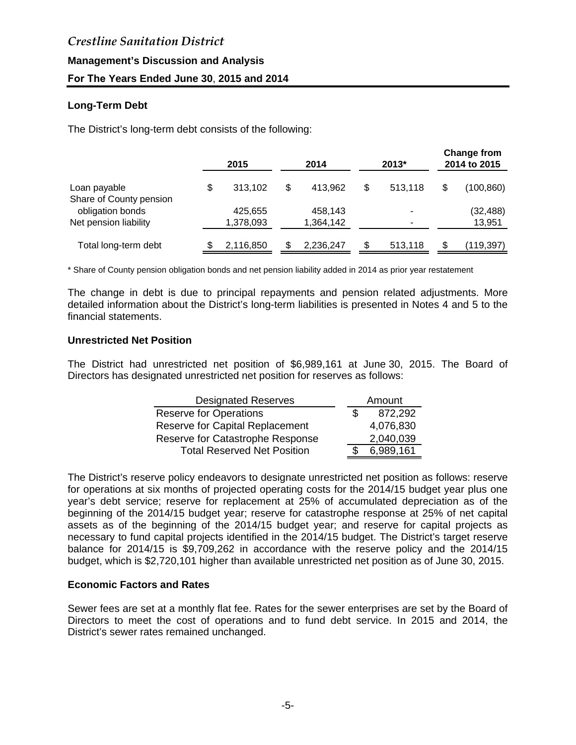# **Management's Discussion and Analysis For The Years Ended June 30**, **2015 and 2014**

### **Long-Term Debt**

The District's long-term debt consists of the following:

|                         | 2015          | 2014      |    | $2013*$ |     | <b>Change from</b><br>2014 to 2015 |
|-------------------------|---------------|-----------|----|---------|-----|------------------------------------|
| Loan payable            | \$<br>313,102 | 413.962   | \$ | 513.118 | \$  | (100,860)                          |
| Share of County pension |               |           |    |         |     |                                    |
| obligation bonds        | 425,655       | 458,143   |    |         |     | (32, 488)                          |
| Net pension liability   | 1,378,093     | 1,364,142 |    | ۰       |     | 13,951                             |
| Total long-term debt    | 2,116,850     | 2,236,247 | S. | 513,118 | \$. | (119,397)                          |

\* Share of County pension obligation bonds and net pension liability added in 2014 as prior year restatement

The change in debt is due to principal repayments and pension related adjustments. More detailed information about the District's long-term liabilities is presented in Notes 4 and 5 to the financial statements.

#### **Unrestricted Net Position**

The District had unrestricted net position of \$6,989,161 at June 30, 2015. The Board of Directors has designated unrestricted net position for reserves as follows:

| <b>Designated Reserves</b>         | Amount |           |  |  |
|------------------------------------|--------|-----------|--|--|
| <b>Reserve for Operations</b>      |        | 872,292   |  |  |
| Reserve for Capital Replacement    |        | 4,076,830 |  |  |
| Reserve for Catastrophe Response   |        | 2,040,039 |  |  |
| <b>Total Reserved Net Position</b> |        | 6,989,161 |  |  |

The District's reserve policy endeavors to designate unrestricted net position as follows: reserve for operations at six months of projected operating costs for the 2014/15 budget year plus one year's debt service; reserve for replacement at 25% of accumulated depreciation as of the beginning of the 2014/15 budget year; reserve for catastrophe response at 25% of net capital assets as of the beginning of the 2014/15 budget year; and reserve for capital projects as necessary to fund capital projects identified in the 2014/15 budget. The District's target reserve balance for 2014/15 is \$9,709,262 in accordance with the reserve policy and the 2014/15 budget, which is \$2,720,101 higher than available unrestricted net position as of June 30, 2015.

#### **Economic Factors and Rates**

Sewer fees are set at a monthly flat fee. Rates for the sewer enterprises are set by the Board of Directors to meet the cost of operations and to fund debt service. In 2015 and 2014, the District's sewer rates remained unchanged.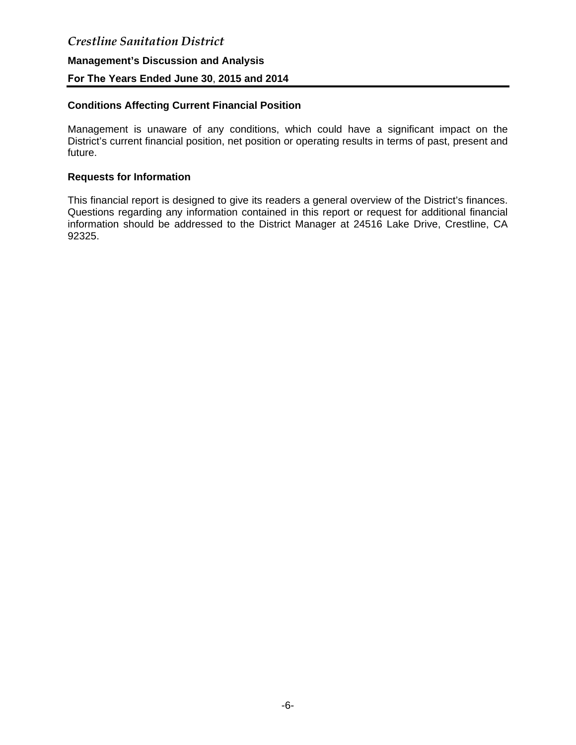#### **Management's Discussion and Analysis**

#### **For The Years Ended June 30**, **2015 and 2014**

#### **Conditions Affecting Current Financial Position**

Management is unaware of any conditions, which could have a significant impact on the District's current financial position, net position or operating results in terms of past, present and future.

#### **Requests for Information**

This financial report is designed to give its readers a general overview of the District's finances. Questions regarding any information contained in this report or request for additional financial information should be addressed to the District Manager at 24516 Lake Drive, Crestline, CA 92325.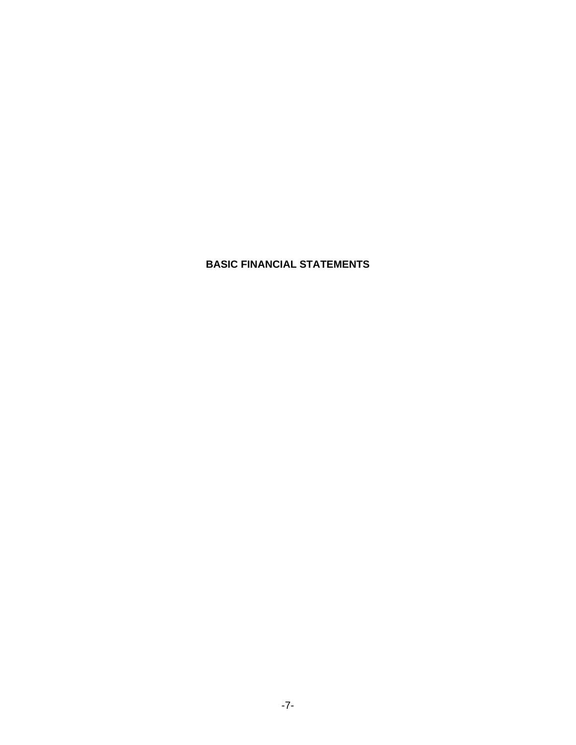### **BASIC FINANCIAL STATEMENTS**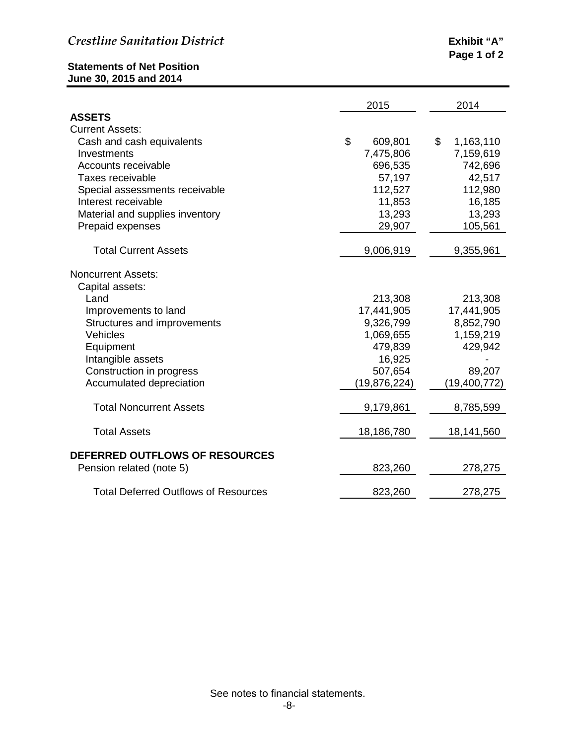# *Crestline Sanitation District* **Exhibit "A"**

### **Statements of Net Position June 30, 2015 and 2014**

|                                             | 2015           | 2014            |
|---------------------------------------------|----------------|-----------------|
| <b>ASSETS</b>                               |                |                 |
| <b>Current Assets:</b>                      |                |                 |
| Cash and cash equivalents                   | \$<br>609,801  | \$<br>1,163,110 |
| Investments                                 | 7,475,806      | 7,159,619       |
| Accounts receivable                         | 696,535        | 742,696         |
| Taxes receivable                            | 57,197         | 42,517          |
| Special assessments receivable              | 112,527        | 112,980         |
| Interest receivable                         | 11,853         | 16,185          |
| Material and supplies inventory             | 13,293         | 13,293          |
| Prepaid expenses                            | 29,907         | 105,561         |
| <b>Total Current Assets</b>                 | 9,006,919      | 9,355,961       |
| <b>Noncurrent Assets:</b>                   |                |                 |
| Capital assets:                             |                |                 |
| Land                                        | 213,308        | 213,308         |
| Improvements to land                        | 17,441,905     | 17,441,905      |
| Structures and improvements                 | 9,326,799      | 8,852,790       |
| Vehicles                                    | 1,069,655      | 1,159,219       |
| Equipment                                   | 479,839        | 429,942         |
| Intangible assets                           | 16,925         |                 |
| Construction in progress                    | 507,654        | 89,207          |
| Accumulated depreciation                    | (19, 876, 224) | (19, 400, 772)  |
| <b>Total Noncurrent Assets</b>              | 9,179,861      | 8,785,599       |
| <b>Total Assets</b>                         | 18,186,780     | 18,141,560      |
| DEFERRED OUTFLOWS OF RESOURCES              |                |                 |
| Pension related (note 5)                    | 823,260        | 278,275         |
| <b>Total Deferred Outflows of Resources</b> | 823,260        | 278,275         |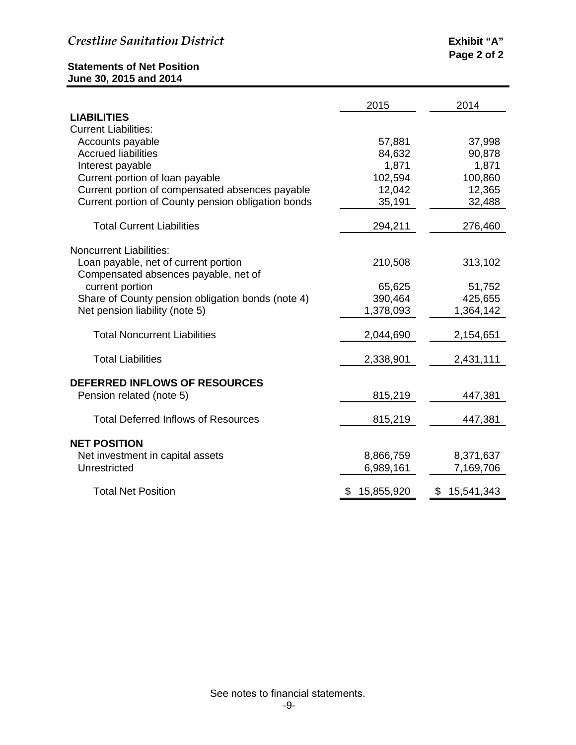### **Statements of Net Position June 30, 2015 and 2014**

|                                                    | 2015             | 2014             |
|----------------------------------------------------|------------------|------------------|
| <b>LIABILITIES</b>                                 |                  |                  |
| <b>Current Liabilities:</b>                        |                  |                  |
| Accounts payable<br><b>Accrued liabilities</b>     | 57,881<br>84,632 | 37,998<br>90,878 |
| Interest payable                                   | 1,871            | 1,871            |
| Current portion of loan payable                    | 102,594          | 100,860          |
| Current portion of compensated absences payable    | 12,042           | 12,365           |
| Current portion of County pension obligation bonds | 35,191           | 32,488           |
| <b>Total Current Liabilities</b>                   | 294,211          | 276,460          |
| <b>Noncurrent Liabilities:</b>                     |                  |                  |
| Loan payable, net of current portion               | 210,508          | 313,102          |
| Compensated absences payable, net of               |                  |                  |
| current portion                                    | 65,625           | 51,752           |
| Share of County pension obligation bonds (note 4)  | 390,464          | 425,655          |
| Net pension liability (note 5)                     | 1,378,093        | 1,364,142        |
| <b>Total Noncurrent Liabilities</b>                | 2,044,690        | 2,154,651        |
| <b>Total Liabilities</b>                           | 2,338,901        | 2,431,111        |
|                                                    |                  |                  |
| <b>DEFERRED INFLOWS OF RESOURCES</b>               |                  |                  |
| Pension related (note 5)                           | 815,219          | 447,381          |
| <b>Total Deferred Inflows of Resources</b>         | 815,219          | 447,381          |
| <b>NET POSITION</b>                                |                  |                  |
| Net investment in capital assets                   | 8,866,759        | 8,371,637        |
| Unrestricted                                       | 6,989,161        | 7,169,706        |
| <b>Total Net Position</b>                          | 15,855,920       | \$15,541,343     |
|                                                    |                  |                  |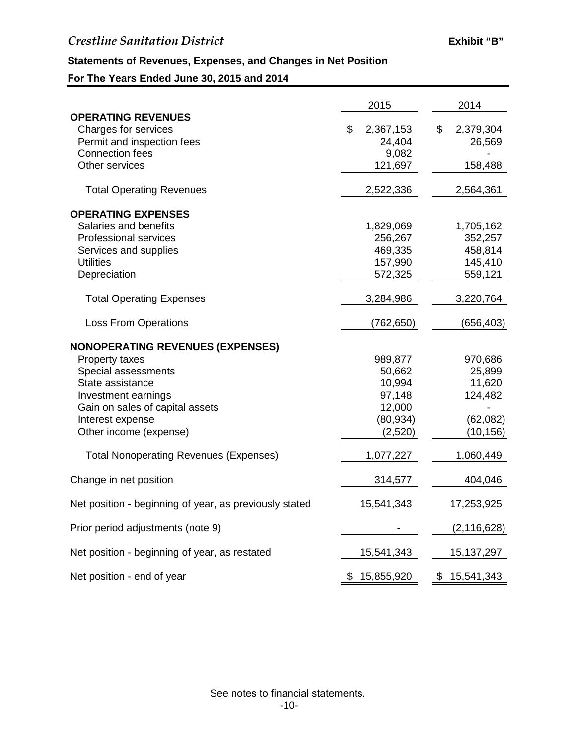# **Crestline Sanitation District Exhibit "B" Exhibit "B"**

### **Statements of Revenues, Expenses, and Changes in Net Position**

**For The Years Ended June 30, 2015 and 2014** 

|                                                                                                                                                                                                                                                               | 2015                                                                                 | 2014                                                                         |
|---------------------------------------------------------------------------------------------------------------------------------------------------------------------------------------------------------------------------------------------------------------|--------------------------------------------------------------------------------------|------------------------------------------------------------------------------|
| <b>OPERATING REVENUES</b><br>Charges for services<br>Permit and inspection fees<br><b>Connection fees</b><br>Other services                                                                                                                                   | \$<br>2,367,153<br>24,404<br>9,082<br>121,697                                        | \$<br>2,379,304<br>26,569<br>158,488                                         |
| <b>Total Operating Revenues</b>                                                                                                                                                                                                                               | 2,522,336                                                                            | 2,564,361                                                                    |
| <b>OPERATING EXPENSES</b><br>Salaries and benefits<br><b>Professional services</b><br>Services and supplies<br><b>Utilities</b><br>Depreciation                                                                                                               | 1,829,069<br>256,267<br>469,335<br>157,990<br>572,325                                | 1,705,162<br>352,257<br>458,814<br>145,410<br>559,121                        |
| <b>Total Operating Expenses</b>                                                                                                                                                                                                                               | 3,284,986                                                                            | 3,220,764                                                                    |
| <b>Loss From Operations</b>                                                                                                                                                                                                                                   | (762, 650)                                                                           | (656, 403)                                                                   |
| <b>NONOPERATING REVENUES (EXPENSES)</b><br>Property taxes<br>Special assessments<br>State assistance<br>Investment earnings<br>Gain on sales of capital assets<br>Interest expense<br>Other income (expense)<br><b>Total Nonoperating Revenues (Expenses)</b> | 989,877<br>50,662<br>10,994<br>97,148<br>12,000<br>(80, 934)<br>(2,520)<br>1,077,227 | 970,686<br>25,899<br>11,620<br>124,482<br>(62,082)<br>(10, 156)<br>1,060,449 |
| Change in net position                                                                                                                                                                                                                                        | 314,577                                                                              | 404,046                                                                      |
| Net position - beginning of year, as previously stated                                                                                                                                                                                                        | 15,541,343                                                                           | 17,253,925                                                                   |
| Prior period adjustments (note 9)                                                                                                                                                                                                                             |                                                                                      | (2, 116, 628)                                                                |
| Net position - beginning of year, as restated                                                                                                                                                                                                                 | 15,541,343                                                                           | 15, 137, 297                                                                 |
| Net position - end of year                                                                                                                                                                                                                                    | 15,855,920<br>\$                                                                     | \$<br>15,541,343                                                             |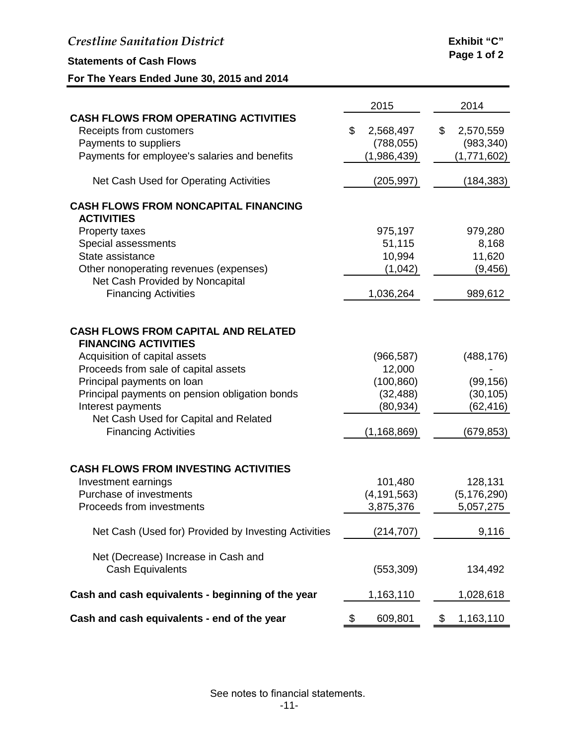| <b>Statements of Cash Flows</b>                                                                                                                  |                                              | Page 1 of 2                                  |
|--------------------------------------------------------------------------------------------------------------------------------------------------|----------------------------------------------|----------------------------------------------|
| For The Years Ended June 30, 2015 and 2014                                                                                                       |                                              |                                              |
|                                                                                                                                                  | 2015                                         | 2014                                         |
| <b>CASH FLOWS FROM OPERATING ACTIVITIES</b><br>Receipts from customers<br>Payments to suppliers<br>Payments for employee's salaries and benefits | \$<br>2,568,497<br>(788, 055)<br>(1,986,439) | \$<br>2,570,559<br>(983, 340)<br>(1,771,602) |
| Net Cash Used for Operating Activities                                                                                                           | (205, 997)                                   | (184, 383)                                   |
| <b>CASH FLOWS FROM NONCAPITAL FINANCING</b><br><b>ACTIVITIES</b>                                                                                 |                                              |                                              |
| Property taxes<br>Special assessments<br>State assistance<br>Other nonoperating revenues (expenses)<br>Net Cash Provided by Noncapital           | 975,197<br>51,115<br>10,994<br>(1,042)       | 979,280<br>8,168<br>11,620<br>(9, 456)       |
| <b>Financing Activities</b>                                                                                                                      | 1,036,264                                    | 989,612                                      |
| <b>CASH FLOWS FROM CAPITAL AND RELATED</b><br><b>FINANCING ACTIVITIES</b>                                                                        |                                              |                                              |
| Acquisition of capital assets<br>Proceeds from sale of capital assets                                                                            | (966, 587)<br>12,000                         | (488, 176)                                   |
| Principal payments on loan<br>Principal payments on pension obligation bonds<br>Interest payments                                                | (100, 860)<br>(32, 488)<br>(80, 934)         | (99, 156)<br>(30, 105)<br>(62, 416)          |
| Net Cash Used for Capital and Related<br><b>Financing Activities</b>                                                                             | (1, 168, 869)                                | (679, 853)                                   |
| <b>CASH FLOWS FROM INVESTING ACTIVITIES</b>                                                                                                      |                                              |                                              |
| Investment earnings<br>Purchase of investments<br>Proceeds from investments                                                                      | 101,480<br>(4, 191, 563)<br>3,875,376        | 128,131<br>(5, 176, 290)<br>5,057,275        |
| Net Cash (Used for) Provided by Investing Activities                                                                                             | (214, 707)                                   | 9,116                                        |
| Net (Decrease) Increase in Cash and<br><b>Cash Equivalents</b>                                                                                   | (553, 309)                                   | 134,492                                      |
| Cash and cash equivalents - beginning of the year                                                                                                | 1,163,110                                    | 1,028,618                                    |

 **Exhibit "C"**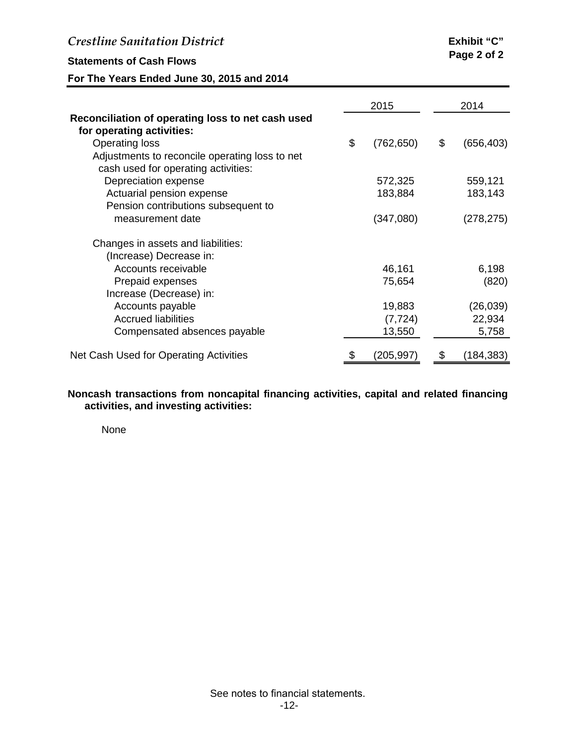#### **Statements of Cash Flows**

**For The Years Ended June 30, 2015 and 2014** 

|                                                                                       | 2015 |            | 2014             |  |  |
|---------------------------------------------------------------------------------------|------|------------|------------------|--|--|
| Reconciliation of operating loss to net cash used<br>for operating activities:        |      |            |                  |  |  |
| <b>Operating loss</b>                                                                 | \$   | (762, 650) | \$<br>(656, 403) |  |  |
| Adjustments to reconcile operating loss to net<br>cash used for operating activities: |      |            |                  |  |  |
| Depreciation expense                                                                  |      | 572,325    | 559,121          |  |  |
| Actuarial pension expense                                                             |      | 183,884    | 183,143          |  |  |
| Pension contributions subsequent to                                                   |      |            |                  |  |  |
| measurement date                                                                      |      | (347,080)  | (278, 275)       |  |  |
| Changes in assets and liabilities:                                                    |      |            |                  |  |  |
| (Increase) Decrease in:                                                               |      |            |                  |  |  |
| Accounts receivable                                                                   |      | 46,161     | 6,198            |  |  |
| Prepaid expenses                                                                      |      | 75,654     | (820)            |  |  |
| Increase (Decrease) in:                                                               |      |            |                  |  |  |
| Accounts payable                                                                      |      | 19,883     | (26, 039)        |  |  |
| <b>Accrued liabilities</b>                                                            |      | (7, 724)   | 22,934           |  |  |
| Compensated absences payable                                                          |      | 13,550     | 5,758            |  |  |
| Net Cash Used for Operating Activities                                                |      | (205,997)  | (184,383)        |  |  |

**Noncash transactions from noncapital financing activities, capital and related financing activities, and investing activities:**

None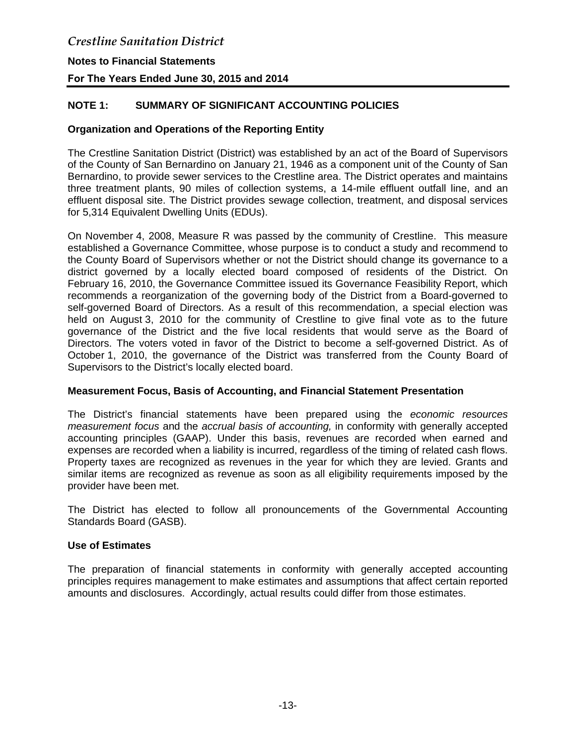#### **Notes to Financial Statements**

**For The Years Ended June 30, 2015 and 2014** 

#### **NOTE 1: SUMMARY OF SIGNIFICANT ACCOUNTING POLICIES**

#### **Organization and Operations of the Reporting Entity**

The Crestline Sanitation District (District) was established by an act of the Board of Supervisors of the County of San Bernardino on January 21, 1946 as a component unit of the County of San Bernardino, to provide sewer services to the Crestline area. The District operates and maintains three treatment plants, 90 miles of collection systems, a 14-mile effluent outfall line, and an effluent disposal site. The District provides sewage collection, treatment, and disposal services for 5,314 Equivalent Dwelling Units (EDUs).

On November 4, 2008, Measure R was passed by the community of Crestline. This measure established a Governance Committee, whose purpose is to conduct a study and recommend to the County Board of Supervisors whether or not the District should change its governance to a district governed by a locally elected board composed of residents of the District. On February 16, 2010, the Governance Committee issued its Governance Feasibility Report, which recommends a reorganization of the governing body of the District from a Board-governed to self-governed Board of Directors. As a result of this recommendation, a special election was held on August 3, 2010 for the community of Crestline to give final vote as to the future governance of the District and the five local residents that would serve as the Board of Directors. The voters voted in favor of the District to become a self-governed District. As of October 1, 2010, the governance of the District was transferred from the County Board of Supervisors to the District's locally elected board.

#### **Measurement Focus, Basis of Accounting, and Financial Statement Presentation**

The District's financial statements have been prepared using the *economic resources measurement focus* and the *accrual basis of accounting,* in conformity with generally accepted accounting principles (GAAP). Under this basis, revenues are recorded when earned and expenses are recorded when a liability is incurred, regardless of the timing of related cash flows. Property taxes are recognized as revenues in the year for which they are levied. Grants and similar items are recognized as revenue as soon as all eligibility requirements imposed by the provider have been met.

The District has elected to follow all pronouncements of the Governmental Accounting Standards Board (GASB).

#### **Use of Estimates**

The preparation of financial statements in conformity with generally accepted accounting principles requires management to make estimates and assumptions that affect certain reported amounts and disclosures. Accordingly, actual results could differ from those estimates.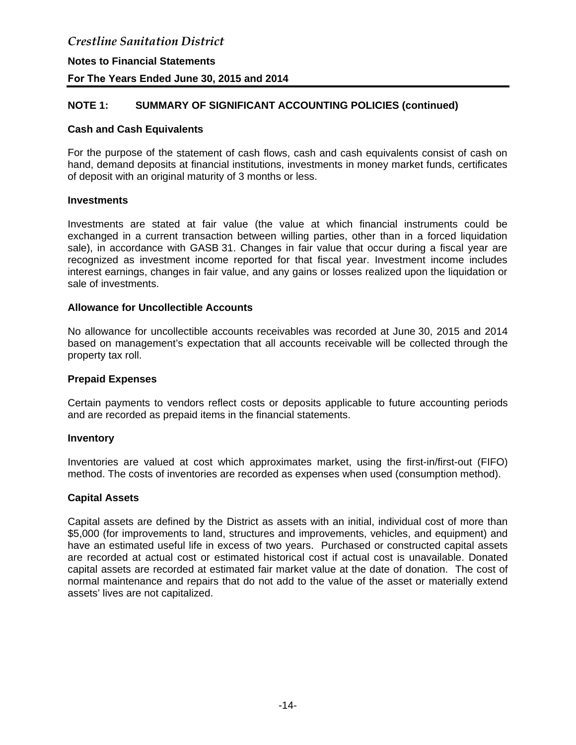#### **Notes to Financial Statements**

#### **For The Years Ended June 30, 2015 and 2014**

#### **NOTE 1: SUMMARY OF SIGNIFICANT ACCOUNTING POLICIES (continued)**

#### **Cash and Cash Equivalents**

For the purpose of the statement of cash flows, cash and cash equivalents consist of cash on hand, demand deposits at financial institutions, investments in money market funds, certificates of deposit with an original maturity of 3 months or less.

#### **Investments**

Investments are stated at fair value (the value at which financial instruments could be exchanged in a current transaction between willing parties, other than in a forced liquidation sale), in accordance with GASB 31. Changes in fair value that occur during a fiscal year are recognized as investment income reported for that fiscal year. Investment income includes interest earnings, changes in fair value, and any gains or losses realized upon the liquidation or sale of investments.

#### **Allowance for Uncollectible Accounts**

No allowance for uncollectible accounts receivables was recorded at June 30, 2015 and 2014 based on management's expectation that all accounts receivable will be collected through the property tax roll.

#### **Prepaid Expenses**

Certain payments to vendors reflect costs or deposits applicable to future accounting periods and are recorded as prepaid items in the financial statements.

#### **Inventory**

Inventories are valued at cost which approximates market, using the first-in/first-out (FIFO) method. The costs of inventories are recorded as expenses when used (consumption method).

#### **Capital Assets**

Capital assets are defined by the District as assets with an initial, individual cost of more than \$5,000 (for improvements to land, structures and improvements, vehicles, and equipment) and have an estimated useful life in excess of two years. Purchased or constructed capital assets are recorded at actual cost or estimated historical cost if actual cost is unavailable. Donated capital assets are recorded at estimated fair market value at the date of donation. The cost of normal maintenance and repairs that do not add to the value of the asset or materially extend assets' lives are not capitalized.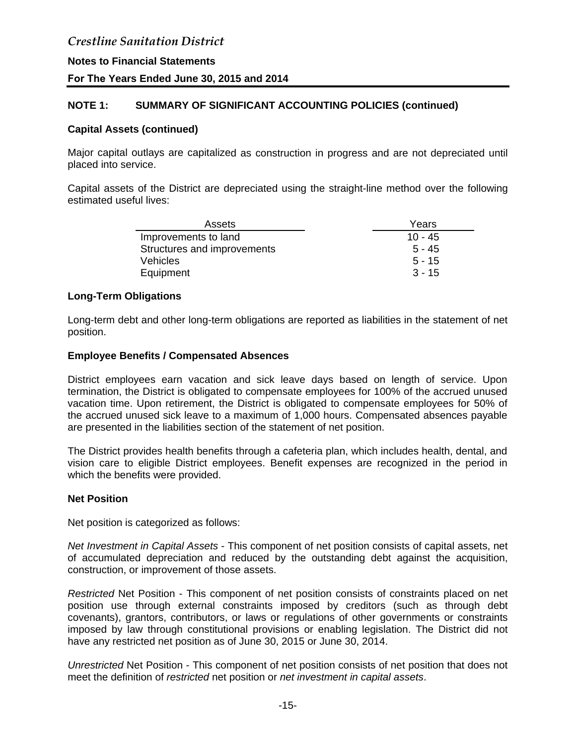#### **Notes to Financial Statements**

#### **For The Years Ended June 30, 2015 and 2014**

#### **NOTE 1: SUMMARY OF SIGNIFICANT ACCOUNTING POLICIES (continued)**

#### **Capital Assets (continued)**

Major capital outlays are capitalized as construction in progress and are not depreciated until placed into service.

Capital assets of the District are depreciated using the straight-line method over the following estimated useful lives:

| Assets                      | Years     |
|-----------------------------|-----------|
| Improvements to land        | $10 - 45$ |
| Structures and improvements | $5 - 45$  |
| Vehicles                    | $5 - 15$  |
| Equipment                   | $3 - 15$  |

#### **Long-Term Obligations**

Long-term debt and other long-term obligations are reported as liabilities in the statement of net position.

#### **Employee Benefits / Compensated Absences**

District employees earn vacation and sick leave days based on length of service. Upon termination, the District is obligated to compensate employees for 100% of the accrued unused vacation time. Upon retirement, the District is obligated to compensate employees for 50% of the accrued unused sick leave to a maximum of 1,000 hours. Compensated absences payable are presented in the liabilities section of the statement of net position.

The District provides health benefits through a cafeteria plan, which includes health, dental, and vision care to eligible District employees. Benefit expenses are recognized in the period in which the benefits were provided.

#### **Net Position**

Net position is categorized as follows:

*Net Investment in Capital Assets* - This component of net position consists of capital assets, net of accumulated depreciation and reduced by the outstanding debt against the acquisition, construction, or improvement of those assets.

*Restricted* Net Position - This component of net position consists of constraints placed on net position use through external constraints imposed by creditors (such as through debt covenants), grantors, contributors, or laws or regulations of other governments or constraints imposed by law through constitutional provisions or enabling legislation. The District did not have any restricted net position as of June 30, 2015 or June 30, 2014.

*Unrestricted* Net Position - This component of net position consists of net position that does not meet the definition of *restricted* net position or *net investment in capital assets*.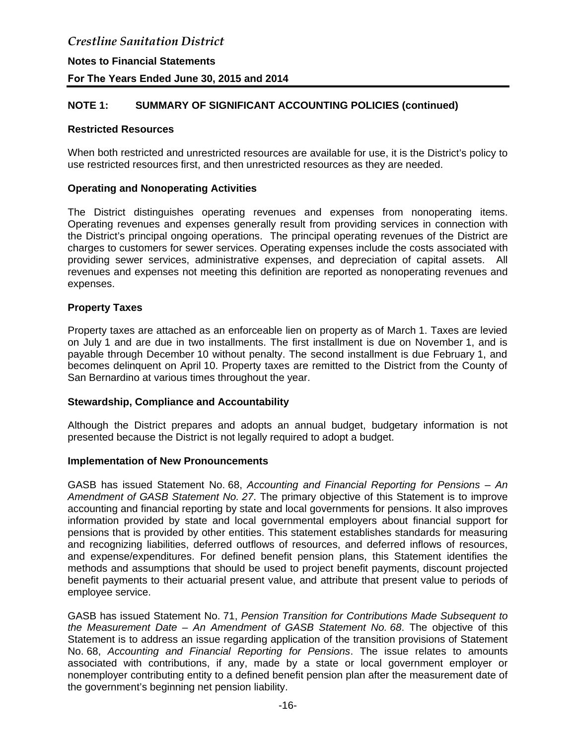#### **Notes to Financial Statements**

#### **For The Years Ended June 30, 2015 and 2014**

#### **NOTE 1: SUMMARY OF SIGNIFICANT ACCOUNTING POLICIES (continued)**

#### **Restricted Resources**

When both restricted and unrestricted resources are available for use, it is the District's policy to use restricted resources first, and then unrestricted resources as they are needed.

#### **Operating and Nonoperating Activities**

The District distinguishes operating revenues and expenses from nonoperating items. Operating revenues and expenses generally result from providing services in connection with the District's principal ongoing operations. The principal operating revenues of the District are charges to customers for sewer services. Operating expenses include the costs associated with providing sewer services, administrative expenses, and depreciation of capital assets. All revenues and expenses not meeting this definition are reported as nonoperating revenues and expenses.

#### **Property Taxes**

Property taxes are attached as an enforceable lien on property as of March 1. Taxes are levied on July 1 and are due in two installments. The first installment is due on November 1, and is payable through December 10 without penalty. The second installment is due February 1, and becomes delinquent on April 10. Property taxes are remitted to the District from the County of San Bernardino at various times throughout the year.

#### **Stewardship, Compliance and Accountability**

Although the District prepares and adopts an annual budget, budgetary information is not presented because the District is not legally required to adopt a budget.

#### **Implementation of New Pronouncements**

GASB has issued Statement No. 68, *Accounting and Financial Reporting for Pensions – An Amendment of GASB Statement No. 27*. The primary objective of this Statement is to improve accounting and financial reporting by state and local governments for pensions. It also improves information provided by state and local governmental employers about financial support for pensions that is provided by other entities. This statement establishes standards for measuring and recognizing liabilities, deferred outflows of resources, and deferred inflows of resources, and expense/expenditures. For defined benefit pension plans, this Statement identifies the methods and assumptions that should be used to project benefit payments, discount projected benefit payments to their actuarial present value, and attribute that present value to periods of employee service.

GASB has issued Statement No. 71, *Pension Transition for Contributions Made Subsequent to the Measurement Date – An Amendment of GASB Statement No. 68*. The objective of this Statement is to address an issue regarding application of the transition provisions of Statement No. 68, *Accounting and Financial Reporting for Pensions*. The issue relates to amounts associated with contributions, if any, made by a state or local government employer or nonemployer contributing entity to a defined benefit pension plan after the measurement date of the government's beginning net pension liability.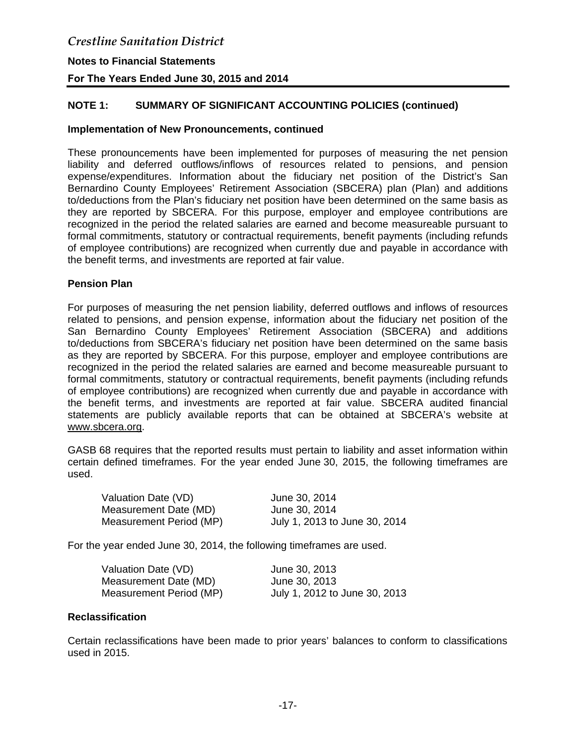#### **Notes to Financial Statements**

**For The Years Ended June 30, 2015 and 2014** 

#### **NOTE 1: SUMMARY OF SIGNIFICANT ACCOUNTING POLICIES (continued)**

#### **Implementation of New Pronouncements, continued**

These pronouncements have been implemented for purposes of measuring the net pension liability and deferred outflows/inflows of resources related to pensions, and pension expense/expenditures. Information about the fiduciary net position of the District's San Bernardino County Employees' Retirement Association (SBCERA) plan (Plan) and additions to/deductions from the Plan's fiduciary net position have been determined on the same basis as they are reported by SBCERA. For this purpose, employer and employee contributions are recognized in the period the related salaries are earned and become measureable pursuant to formal commitments, statutory or contractual requirements, benefit payments (including refunds of employee contributions) are recognized when currently due and payable in accordance with the benefit terms, and investments are reported at fair value.

#### **Pension Plan**

For purposes of measuring the net pension liability, deferred outflows and inflows of resources related to pensions, and pension expense, information about the fiduciary net position of the San Bernardino County Employees' Retirement Association (SBCERA) and additions to/deductions from SBCERA's fiduciary net position have been determined on the same basis as they are reported by SBCERA. For this purpose, employer and employee contributions are recognized in the period the related salaries are earned and become measureable pursuant to formal commitments, statutory or contractual requirements, benefit payments (including refunds of employee contributions) are recognized when currently due and payable in accordance with the benefit terms, and investments are reported at fair value. SBCERA audited financial statements are publicly available reports that can be obtained at SBCERA's website at www.sbcera.org.

GASB 68 requires that the reported results must pertain to liability and asset information within certain defined timeframes. For the year ended June 30, 2015, the following timeframes are used.

| Valuation Date (VD)     | June 30, 2014                 |
|-------------------------|-------------------------------|
| Measurement Date (MD)   | June 30, 2014                 |
| Measurement Period (MP) | July 1, 2013 to June 30, 2014 |

For the year ended June 30, 2014, the following timeframes are used.

| Valuation Date (VD)     | June 30, 2013                 |
|-------------------------|-------------------------------|
| Measurement Date (MD)   | June 30, 2013                 |
| Measurement Period (MP) | July 1, 2012 to June 30, 2013 |

#### **Reclassification**

Certain reclassifications have been made to prior years' balances to conform to classifications used in 2015.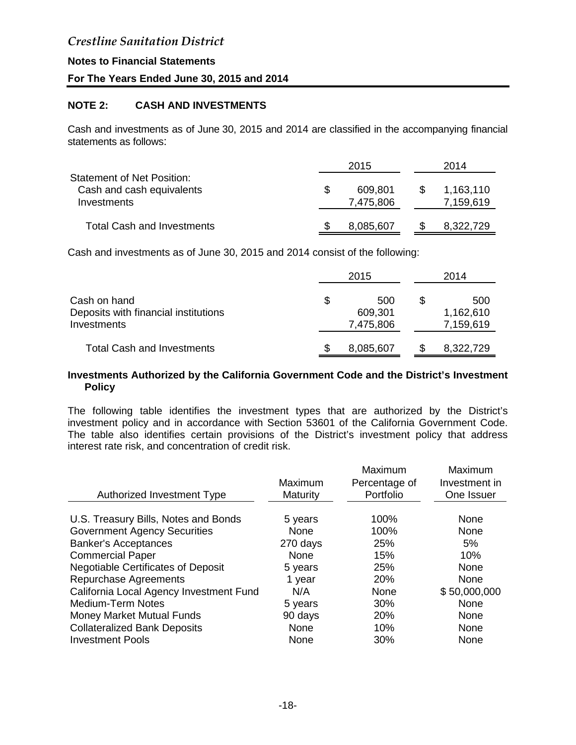#### **Notes to Financial Statements**

#### **For The Years Ended June 30, 2015 and 2014**

#### **NOTE 2: CASH AND INVESTMENTS**

Cash and investments as of June 30, 2015 and 2014 are classified in the accompanying financial statements as follows:

|                                                                                                                    | 2015                 | 2014                   |  |  |
|--------------------------------------------------------------------------------------------------------------------|----------------------|------------------------|--|--|
| <b>Statement of Net Position:</b><br>Cash and cash equivalents<br>Investments<br><b>Total Cash and Investments</b> | 609.801<br>7,475,806 | 1,163,110<br>7,159,619 |  |  |
|                                                                                                                    | 8,085,607            | 8,322,729              |  |  |

Cash and investments as of June 30, 2015 and 2014 consist of the following:

|                                                                     | 2015                        | 2014                          |  |  |
|---------------------------------------------------------------------|-----------------------------|-------------------------------|--|--|
| Cash on hand<br>Deposits with financial institutions<br>Investments | 500<br>609,301<br>7,475,806 | 500<br>1,162,610<br>7,159,619 |  |  |
| <b>Total Cash and Investments</b>                                   | 8,085,607                   | 8,322,729                     |  |  |

#### **Investments Authorized by the California Government Code and the District's Investment Policy**

The following table identifies the investment types that are authorized by the District's investment policy and in accordance with Section 53601 of the California Government Code. The table also identifies certain provisions of the District's investment policy that address interest rate risk, and concentration of credit risk.

|                                           |          | Maximum       | Maximum       |
|-------------------------------------------|----------|---------------|---------------|
|                                           | Maximum  | Percentage of | Investment in |
| Authorized Investment Type                | Maturity | Portfolio     | One Issuer    |
| U.S. Treasury Bills, Notes and Bonds      | 5 years  | 100%          | None          |
| <b>Government Agency Securities</b>       | None     | 100%          | None          |
| <b>Banker's Acceptances</b>               | 270 days | 25%           | 5%            |
| <b>Commercial Paper</b>                   | None     | 15%           | 10%           |
| <b>Negotiable Certificates of Deposit</b> | 5 years  | 25%           | None          |
| Repurchase Agreements                     | 1 year   | <b>20%</b>    | None          |
| California Local Agency Investment Fund   | N/A      | None          | \$50,000,000  |
| <b>Medium-Term Notes</b>                  | 5 years  | 30%           | None          |
| <b>Money Market Mutual Funds</b>          | 90 days  | 20%           | None          |
| <b>Collateralized Bank Deposits</b>       | None     | 10%           | None          |
| <b>Investment Pools</b>                   | None     | 30%           | None          |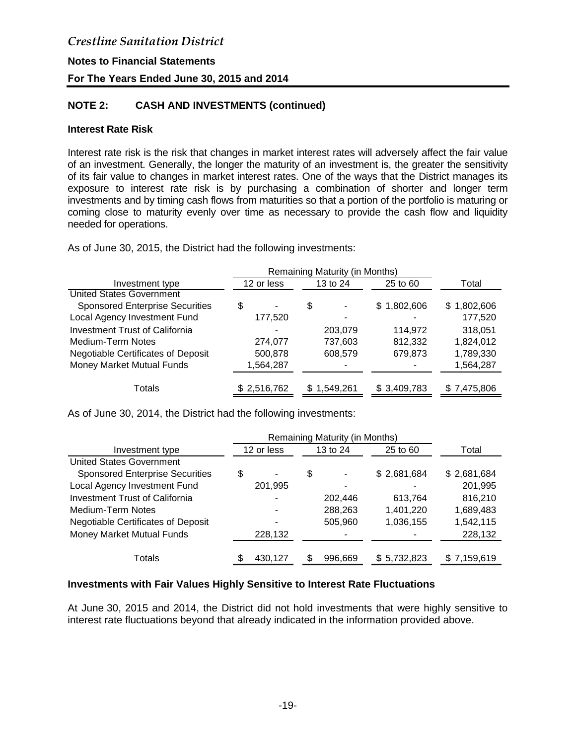#### **Notes to Financial Statements**

#### **For The Years Ended June 30, 2015 and 2014**

#### **NOTE 2: CASH AND INVESTMENTS (continued)**

#### **Interest Rate Risk**

Interest rate risk is the risk that changes in market interest rates will adversely affect the fair value of an investment. Generally, the longer the maturity of an investment is, the greater the sensitivity of its fair value to changes in market interest rates. One of the ways that the District manages its exposure to interest rate risk is by purchasing a combination of shorter and longer term investments and by timing cash flows from maturities so that a portion of the portfolio is maturing or coming close to maturity evenly over time as necessary to provide the cash flow and liquidity needed for operations.

|                                        | Remaining Maturity (in Months) |                 |             |             |
|----------------------------------------|--------------------------------|-----------------|-------------|-------------|
| Investment type                        | 12 or less                     | Total           |             |             |
| <b>United States Government</b>        |                                |                 |             |             |
| <b>Sponsored Enterprise Securities</b> | \$                             | S               | \$1,802,606 | \$1,802,606 |
| Local Agency Investment Fund           | 177,520                        |                 |             | 177,520     |
| Investment Trust of California         |                                | 203,079         | 114,972     | 318,051     |
| Medium-Term Notes                      | 274,077                        | 737,603         | 812,332     | 1,824,012   |
| Negotiable Certificates of Deposit     | 500,878                        | 608,579         | 679,873     | 1,789,330   |
| Money Market Mutual Funds              | 1,564,287                      |                 |             | 1,564,287   |
|                                        |                                |                 |             |             |
| Totals                                 | \$2,516,762                    | 1,549,261<br>S. | \$3,409,783 | \$7,475,806 |

As of June 30, 2015, the District had the following investments:

As of June 30, 2014, the District had the following investments:

|                                        | Remaining Maturity (in Months) |          |             |             |
|----------------------------------------|--------------------------------|----------|-------------|-------------|
| Investment type                        | 12 or less                     | 13 to 24 | 25 to 60    | Total       |
| United States Government               |                                |          |             |             |
| <b>Sponsored Enterprise Securities</b> | \$                             | \$<br>۰  | \$2,681,684 | \$2,681,684 |
| Local Agency Investment Fund           | 201,995                        |          |             | 201,995     |
| <b>Investment Trust of California</b>  |                                | 202,446  | 613.764     | 816,210     |
| Medium-Term Notes                      |                                | 288,263  | 1,401,220   | 1,689,483   |
| Negotiable Certificates of Deposit     |                                | 505,960  | 1,036,155   | 1,542,115   |
| Money Market Mutual Funds              | 228,132                        |          |             | 228,132     |
|                                        |                                |          |             |             |
| Totals                                 | 430,127                        | 996,669  | \$5,732,823 | \$7,159,619 |

#### **Investments with Fair Values Highly Sensitive to Interest Rate Fluctuations**

At June 30, 2015 and 2014, the District did not hold investments that were highly sensitive to interest rate fluctuations beyond that already indicated in the information provided above.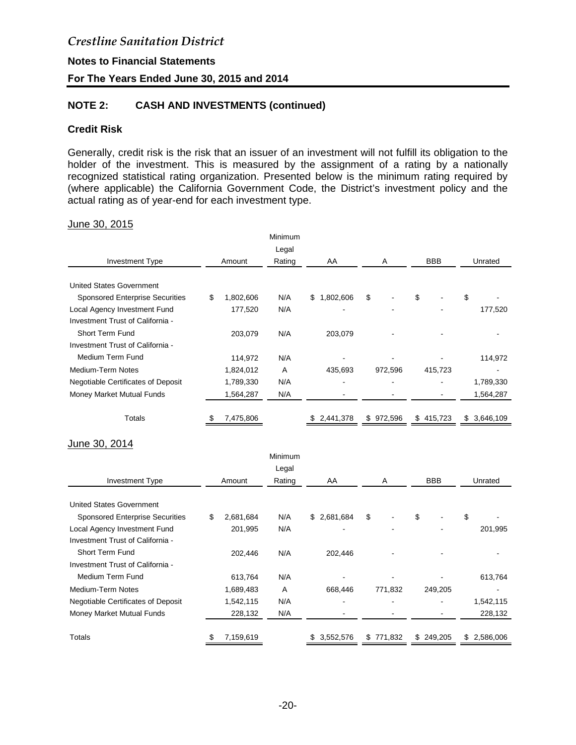#### **Notes to Financial Statements**

**For The Years Ended June 30, 2015 and 2014** 

#### **NOTE 2: CASH AND INVESTMENTS (continued)**

#### **Credit Risk**

Generally, credit risk is the risk that an issuer of an investment will not fulfill its obligation to the holder of the investment. This is measured by the assignment of a rating by a nationally recognized statistical rating organization. Presented below is the minimum rating required by (where applicable) the California Government Code, the District's investment policy and the actual rating as of year-end for each investment type.

#### June 30, 2015

|                                        |    |           | Minimum |                 |           |           |                 |
|----------------------------------------|----|-----------|---------|-----------------|-----------|-----------|-----------------|
|                                        |    |           | Legal   |                 |           |           |                 |
| <b>Investment Type</b>                 |    | Amount    | Rating  | AA              | Α         | BBB       | Unrated         |
|                                        |    |           |         |                 |           |           |                 |
| <b>United States Government</b>        |    |           |         |                 |           |           |                 |
| <b>Sponsored Enterprise Securities</b> | \$ | 1,802,606 | N/A     | 1,802,606<br>\$ | \$        | \$        | \$              |
| Local Agency Investment Fund           |    | 177,520   | N/A     | ٠               |           |           | 177,520         |
| Investment Trust of California -       |    |           |         |                 |           |           |                 |
| Short Term Fund                        |    | 203,079   | N/A     | 203,079         |           |           |                 |
| Investment Trust of California -       |    |           |         |                 |           |           |                 |
| Medium Term Fund                       |    | 114,972   | N/A     |                 |           |           | 114,972         |
| Medium-Term Notes                      |    | 1,824,012 | A       | 435,693         | 972,596   | 415,723   |                 |
| Negotiable Certificates of Deposit     |    | 1,789,330 | N/A     | ٠               |           |           | 1,789,330       |
| Money Market Mutual Funds              |    | 1,564,287 | N/A     |                 |           |           | 1,564,287       |
|                                        |    |           |         |                 |           |           |                 |
| Totals                                 | S  | 7,475,806 |         | 2,441,378<br>£. | \$972,596 | \$415,723 | 3,646,109<br>\$ |

#### June 30, 2014

|                                                                    |                 | Minimum |                          |               |            |                 |
|--------------------------------------------------------------------|-----------------|---------|--------------------------|---------------|------------|-----------------|
|                                                                    |                 | Legal   |                          |               |            |                 |
| <b>Investment Type</b>                                             | Amount          | Rating  | AA                       | A             | <b>BBB</b> | Unrated         |
| United States Government<br><b>Sponsored Enterprise Securities</b> | \$<br>2,681,684 | N/A     | 2,681,684<br>\$          | \$            | \$         | \$              |
| Local Agency Investment Fund                                       | 201,995         | N/A     |                          |               |            | 201,995         |
| Investment Trust of California -                                   |                 |         |                          |               |            |                 |
| Short Term Fund                                                    | 202,446         | N/A     | 202,446                  |               |            |                 |
| Investment Trust of California -                                   |                 |         |                          |               |            |                 |
| Medium Term Fund                                                   | 613,764         | N/A     |                          |               |            | 613,764         |
| Medium-Term Notes                                                  | 1,689,483       | A       | 668,446                  | 771,832       | 249,205    |                 |
| Negotiable Certificates of Deposit                                 | 1,542,115       | N/A     | $\overline{\phantom{a}}$ |               |            | 1,542,115       |
| Money Market Mutual Funds                                          | 228,132         | N/A     |                          |               |            | 228,132         |
| Totals                                                             | \$<br>7,159,619 |         | 3,552,576<br>æ.          | 771,832<br>\$ | \$ 249,205 | \$<br>2,586,006 |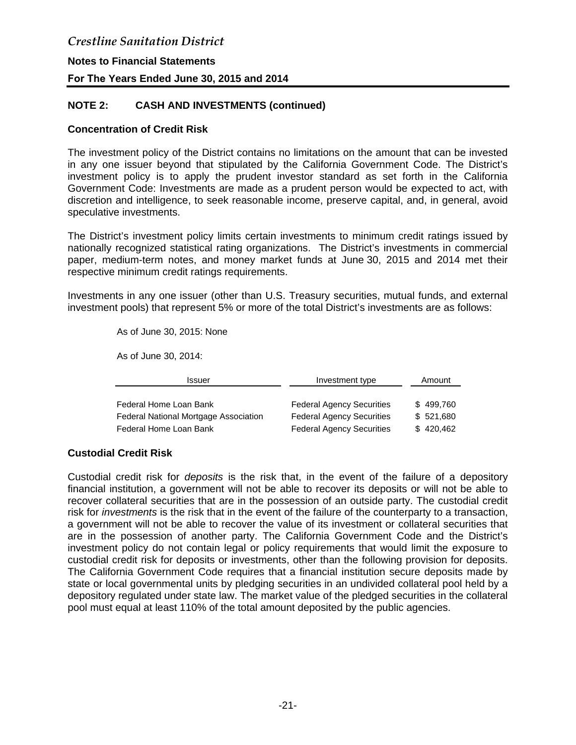#### **Notes to Financial Statements**

**For The Years Ended June 30, 2015 and 2014** 

#### **NOTE 2: CASH AND INVESTMENTS (continued)**

#### **Concentration of Credit Risk**

The investment policy of the District contains no limitations on the amount that can be invested in any one issuer beyond that stipulated by the California Government Code. The District's investment policy is to apply the prudent investor standard as set forth in the California Government Code: Investments are made as a prudent person would be expected to act, with discretion and intelligence, to seek reasonable income, preserve capital, and, in general, avoid speculative investments.

The District's investment policy limits certain investments to minimum credit ratings issued by nationally recognized statistical rating organizations. The District's investments in commercial paper, medium-term notes, and money market funds at June 30, 2015 and 2014 met their respective minimum credit ratings requirements.

Investments in any one issuer (other than U.S. Treasury securities, mutual funds, and external investment pools) that represent 5% or more of the total District's investments are as follows:

As of June 30, 2015: None

As of June 30, 2014:

| Issuer                                | Investment type                  | Amount    |  |  |
|---------------------------------------|----------------------------------|-----------|--|--|
|                                       |                                  |           |  |  |
| Federal Home Loan Bank                | <b>Federal Agency Securities</b> | \$499.760 |  |  |
| Federal National Mortgage Association | <b>Federal Agency Securities</b> | \$521,680 |  |  |
| Federal Home Loan Bank                | <b>Federal Agency Securities</b> | \$420,462 |  |  |

#### **Custodial Credit Risk**

Custodial credit risk for *deposits* is the risk that, in the event of the failure of a depository financial institution, a government will not be able to recover its deposits or will not be able to recover collateral securities that are in the possession of an outside party. The custodial credit risk for *investments* is the risk that in the event of the failure of the counterparty to a transaction, a government will not be able to recover the value of its investment or collateral securities that are in the possession of another party. The California Government Code and the District's investment policy do not contain legal or policy requirements that would limit the exposure to custodial credit risk for deposits or investments, other than the following provision for deposits. The California Government Code requires that a financial institution secure deposits made by state or local governmental units by pledging securities in an undivided collateral pool held by a depository regulated under state law. The market value of the pledged securities in the collateral pool must equal at least 110% of the total amount deposited by the public agencies.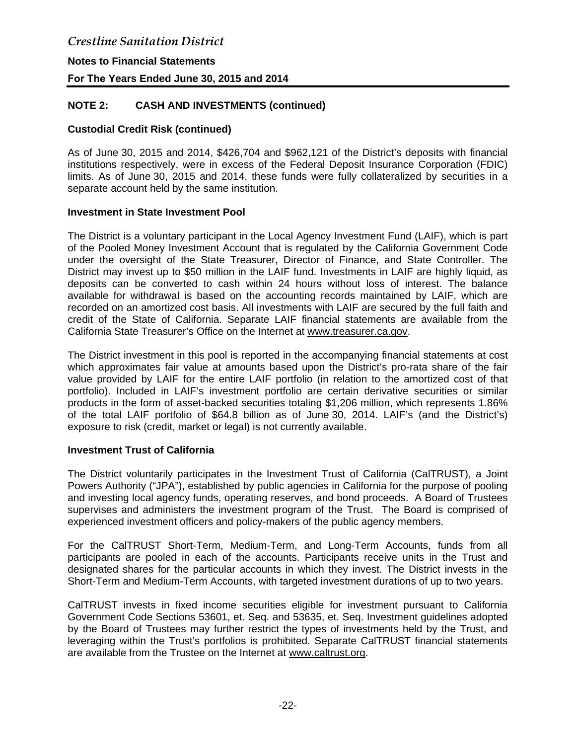#### **Notes to Financial Statements**

**For The Years Ended June 30, 2015 and 2014** 

#### **NOTE 2: CASH AND INVESTMENTS (continued)**

#### **Custodial Credit Risk (continued)**

As of June 30, 2015 and 2014, \$426,704 and \$962,121 of the District's deposits with financial institutions respectively, were in excess of the Federal Deposit Insurance Corporation (FDIC) limits. As of June 30, 2015 and 2014, these funds were fully collateralized by securities in a separate account held by the same institution.

#### **Investment in State Investment Pool**

The District is a voluntary participant in the Local Agency Investment Fund (LAIF), which is part of the Pooled Money Investment Account that is regulated by the California Government Code under the oversight of the State Treasurer, Director of Finance, and State Controller. The District may invest up to \$50 million in the LAIF fund. Investments in LAIF are highly liquid, as deposits can be converted to cash within 24 hours without loss of interest. The balance available for withdrawal is based on the accounting records maintained by LAIF, which are recorded on an amortized cost basis. All investments with LAIF are secured by the full faith and credit of the State of California. Separate LAIF financial statements are available from the California State Treasurer's Office on the Internet at www.treasurer.ca.gov.

The District investment in this pool is reported in the accompanying financial statements at cost which approximates fair value at amounts based upon the District's pro-rata share of the fair value provided by LAIF for the entire LAIF portfolio (in relation to the amortized cost of that portfolio). Included in LAIF's investment portfolio are certain derivative securities or similar products in the form of asset-backed securities totaling \$1,206 million, which represents 1.86% of the total LAIF portfolio of \$64.8 billion as of June 30, 2014. LAIF's (and the District's) exposure to risk (credit, market or legal) is not currently available.

#### **Investment Trust of California**

The District voluntarily participates in the Investment Trust of California (CalTRUST), a Joint Powers Authority ("JPA"), established by public agencies in California for the purpose of pooling and investing local agency funds, operating reserves, and bond proceeds. A Board of Trustees supervises and administers the investment program of the Trust. The Board is comprised of experienced investment officers and policy-makers of the public agency members.

For the CalTRUST Short-Term, Medium-Term, and Long-Term Accounts, funds from all participants are pooled in each of the accounts. Participants receive units in the Trust and designated shares for the particular accounts in which they invest. The District invests in the Short-Term and Medium-Term Accounts, with targeted investment durations of up to two years.

CalTRUST invests in fixed income securities eligible for investment pursuant to California Government Code Sections 53601, et. Seq. and 53635, et. Seq. Investment guidelines adopted by the Board of Trustees may further restrict the types of investments held by the Trust, and leveraging within the Trust's portfolios is prohibited. Separate CalTRUST financial statements are available from the Trustee on the Internet at www.caltrust.org.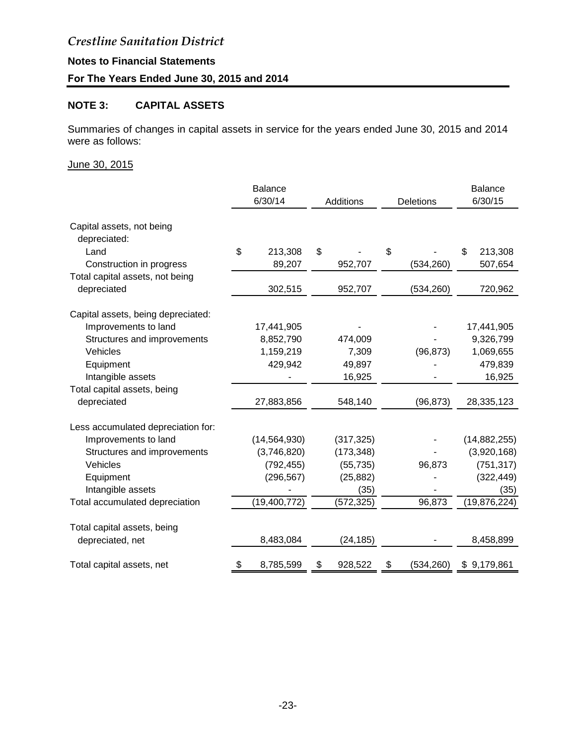### **Notes to Financial Statements**

### **For The Years Ended June 30, 2015 and 2014**

### **NOTE 3: CAPITAL ASSETS**

Summaries of changes in capital assets in service for the years ended June 30, 2015 and 2014 were as follows:

#### June 30, 2015

|                                           | <b>Balance</b><br>6/30/14 |               |           |            | Balance        |
|-------------------------------------------|---------------------------|---------------|-----------|------------|----------------|
|                                           |                           | Additions     | Deletions |            | 6/30/15        |
| Capital assets, not being<br>depreciated: |                           |               |           |            |                |
| Land                                      | \$<br>213,308             | \$            | \$        |            | \$<br>213,308  |
| Construction in progress                  | 89,207                    | 952,707       |           | (534, 260) | 507,654        |
| Total capital assets, not being           |                           |               |           |            |                |
| depreciated                               | 302,515                   | 952,707       |           | (534, 260) | 720,962        |
| Capital assets, being depreciated:        |                           |               |           |            |                |
| Improvements to land                      | 17,441,905                |               |           |            | 17,441,905     |
| Structures and improvements               | 8,852,790                 | 474,009       |           |            | 9,326,799      |
| Vehicles                                  | 1,159,219                 | 7,309         |           | (96, 873)  | 1,069,655      |
| Equipment                                 | 429,942                   | 49,897        |           |            | 479,839        |
| Intangible assets                         |                           | 16,925        |           |            | 16,925         |
| Total capital assets, being               |                           |               |           |            |                |
| depreciated                               | 27,883,856                | 548,140       |           | (96, 873)  | 28,335,123     |
| Less accumulated depreciation for:        |                           |               |           |            |                |
| Improvements to land                      | (14, 564, 930)            | (317, 325)    |           |            | (14, 882, 255) |
| Structures and improvements               | (3,746,820)               | (173, 348)    |           |            | (3,920,168)    |
| Vehicles                                  | (792, 455)                | (55, 735)     |           | 96,873     | (751, 317)     |
| Equipment                                 | (296, 567)                | (25, 882)     |           |            | (322, 449)     |
| Intangible assets                         |                           | (35)          |           |            | (35)           |
| Total accumulated depreciation            | (19, 400, 772)            | (572, 325)    |           | 96,873     | (19, 876, 224) |
| Total capital assets, being               |                           |               |           |            |                |
| depreciated, net                          | 8,483,084                 | (24, 185)     |           |            | 8,458,899      |
| Total capital assets, net                 | \$<br>8,785,599           | \$<br>928,522 | \$        | (534,260)  | \$9,179,861    |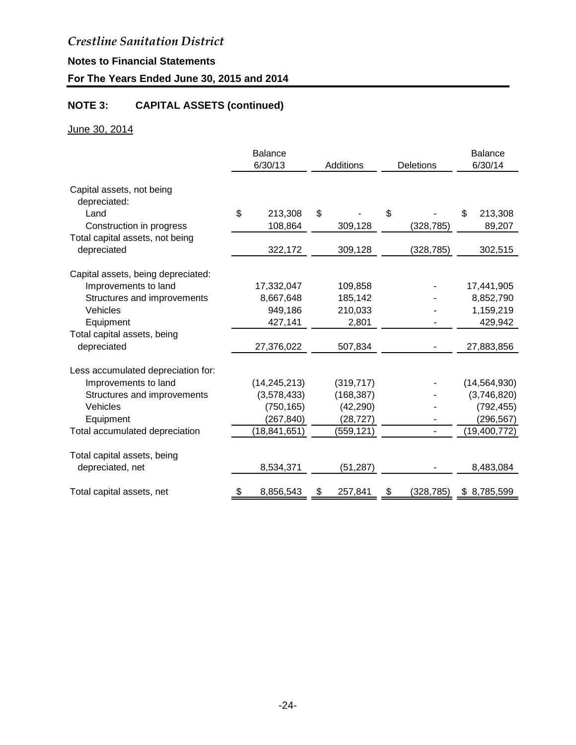### **Notes to Financial Statements**

### **For The Years Ended June 30, 2015 and 2014**

### **NOTE 3: CAPITAL ASSETS (continued)**

### June 30, 2014

|                                    | <b>Balance</b><br>6/30/13 | Additions     | Deletions        | <b>Balance</b><br>6/30/14 |
|------------------------------------|---------------------------|---------------|------------------|---------------------------|
| Capital assets, not being          |                           |               |                  |                           |
| depreciated:                       |                           |               |                  |                           |
| Land                               | \$<br>213,308             | \$            | \$               | \$<br>213,308             |
| Construction in progress           | 108,864                   | 309,128       | (328, 785)       | 89,207                    |
| Total capital assets, not being    |                           |               |                  |                           |
| depreciated                        | 322,172                   | 309,128       | (328, 785)       | 302,515                   |
| Capital assets, being depreciated: |                           |               |                  |                           |
| Improvements to land               | 17,332,047                | 109,858       |                  | 17,441,905                |
| Structures and improvements        | 8,667,648                 | 185,142       |                  | 8,852,790                 |
| Vehicles                           | 949,186                   | 210,033       |                  | 1,159,219                 |
| Equipment                          | 427,141                   | 2,801         |                  | 429,942                   |
| Total capital assets, being        |                           |               |                  |                           |
| depreciated                        | 27,376,022                | 507,834       |                  | 27,883,856                |
| Less accumulated depreciation for: |                           |               |                  |                           |
| Improvements to land               | (14, 245, 213)            | (319, 717)    |                  | (14, 564, 930)            |
| Structures and improvements        | (3,578,433)               | (168, 387)    |                  | (3,746,820)               |
| Vehicles                           | (750, 165)                | (42, 290)     |                  | (792, 455)                |
| Equipment                          | (267, 840)                | (28, 727)     |                  | (296, 567)                |
| Total accumulated depreciation     | (18, 841, 651)            | (559,121)     |                  | (19, 400, 772)            |
| Total capital assets, being        |                           |               |                  |                           |
| depreciated, net                   | 8,534,371                 | (51, 287)     |                  | 8,483,084                 |
| Total capital assets, net          | \$<br>8,856,543           | \$<br>257,841 | \$<br>(328, 785) | \$8,785,599               |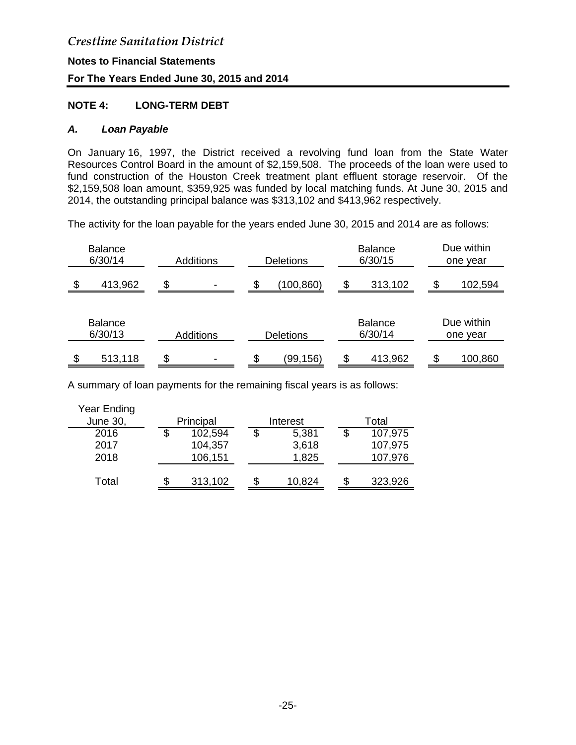#### **Notes to Financial Statements**

#### **For The Years Ended June 30, 2015 and 2014**

#### **NOTE 4: LONG-TERM DEBT**

#### *A. Loan Payable*

On January 16, 1997, the District received a revolving fund loan from the State Water Resources Control Board in the amount of \$2,159,508. The proceeds of the loan were used to fund construction of the Houston Creek treatment plant effluent storage reservoir. Of the \$2,159,508 loan amount, \$359,925 was funded by local matching funds. At June 30, 2015 and 2014, the outstanding principal balance was \$313,102 and \$413,962 respectively.

The activity for the loan payable for the years ended June 30, 2015 and 2014 are as follows:

| <b>Balance</b><br>6/30/14 | Additions                      | <b>Deletions</b>  | <b>Balance</b><br>6/30/15 | Due within<br>one year |
|---------------------------|--------------------------------|-------------------|---------------------------|------------------------|
| 413,962                   | \$<br>$\overline{\phantom{a}}$ | \$.<br>(100, 860) | 313,102<br>\$.            | 102,594<br>S           |
|                           |                                |                   |                           |                        |
| <b>Balance</b><br>6/30/13 | <b>Additions</b>               | <b>Deletions</b>  | <b>Balance</b><br>6/30/14 | Due within<br>one year |
| 513,118                   | \$<br>۰                        | \$.<br>(99, 156)  | 413,962                   | 100,860                |

A summary of loan payments for the remaining fiscal years is as follows:

| Year Ending<br>June 30, |   | Principal |   | Interest |    | Total   |
|-------------------------|---|-----------|---|----------|----|---------|
| 2016                    |   | 102,594   |   | 5,381    | \$ | 107,975 |
| 2017                    |   | 104,357   |   | 3,618    |    | 107,975 |
| 2018                    |   | 106,151   |   | 1,825    |    | 107,976 |
|                         |   |           |   |          |    |         |
| Total                   | S | 313,102   | S | 10,824   | S  | 323,926 |
|                         |   |           |   |          |    |         |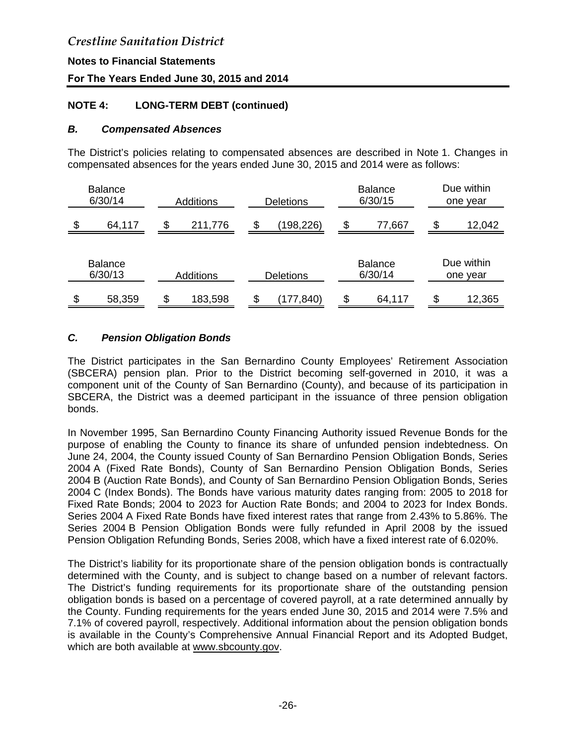#### **Notes to Financial Statements**

#### **For The Years Ended June 30, 2015 and 2014**

### **NOTE 4: LONG-TERM DEBT (continued)**

#### *B. Compensated Absences*

The District's policies relating to compensated absences are described in Note 1. Changes in compensated absences for the years ended June 30, 2015 and 2014 were as follows:

| <b>Balance</b><br>6/30/14 |              | <b>Additions</b> |    | <b>Deletions</b> |    | <b>Balance</b><br>6/30/15 |   | Due within<br>one year |
|---------------------------|--------------|------------------|----|------------------|----|---------------------------|---|------------------------|
| \$                        | \$<br>64,117 | 211,776          | S  | 198,226)         | \$ | 77,667                    | S | 12,042                 |
|                           |              |                  |    |                  |    |                           |   |                        |
| <b>Balance</b><br>6/30/13 |              | <b>Additions</b> |    | <b>Deletions</b> |    | <b>Balance</b><br>6/30/14 |   | Due within<br>one year |
| S                         | \$<br>58,359 | 183,598          | S. | 177,840)         | S  | 64,117                    |   | 12,365                 |

### *C. Pension Obligation Bonds*

The District participates in the San Bernardino County Employees' Retirement Association (SBCERA) pension plan. Prior to the District becoming self-governed in 2010, it was a component unit of the County of San Bernardino (County), and because of its participation in SBCERA, the District was a deemed participant in the issuance of three pension obligation bonds.

In November 1995, San Bernardino County Financing Authority issued Revenue Bonds for the purpose of enabling the County to finance its share of unfunded pension indebtedness. On June 24, 2004, the County issued County of San Bernardino Pension Obligation Bonds, Series 2004 A (Fixed Rate Bonds), County of San Bernardino Pension Obligation Bonds, Series 2004 B (Auction Rate Bonds), and County of San Bernardino Pension Obligation Bonds, Series 2004 C (Index Bonds). The Bonds have various maturity dates ranging from: 2005 to 2018 for Fixed Rate Bonds; 2004 to 2023 for Auction Rate Bonds; and 2004 to 2023 for Index Bonds. Series 2004 A Fixed Rate Bonds have fixed interest rates that range from 2.43% to 5.86%. The Series 2004 B Pension Obligation Bonds were fully refunded in April 2008 by the issued Pension Obligation Refunding Bonds, Series 2008, which have a fixed interest rate of 6.020%.

The District's liability for its proportionate share of the pension obligation bonds is contractually determined with the County, and is subject to change based on a number of relevant factors. The District's funding requirements for its proportionate share of the outstanding pension obligation bonds is based on a percentage of covered payroll, at a rate determined annually by the County. Funding requirements for the years ended June 30, 2015 and 2014 were 7.5% and 7.1% of covered payroll, respectively. Additional information about the pension obligation bonds is available in the County's Comprehensive Annual Financial Report and its Adopted Budget, which are both available at www.sbcounty.gov.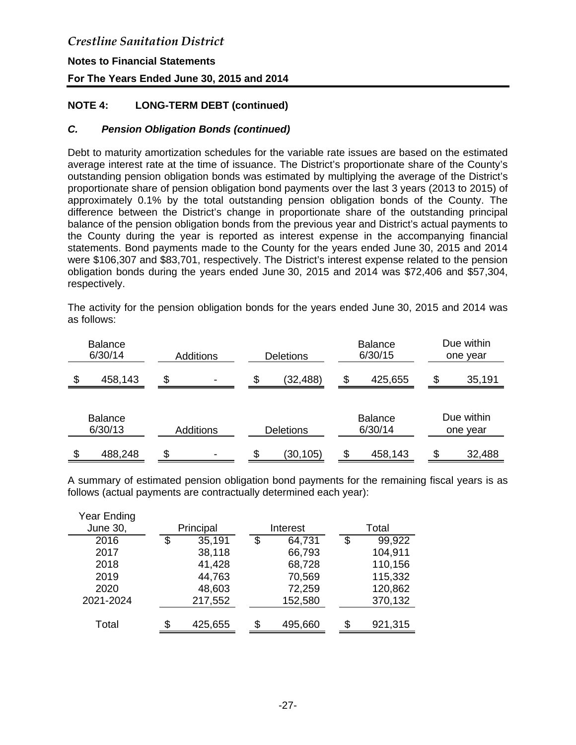#### **Notes to Financial Statements**

#### **For The Years Ended June 30, 2015 and 2014**

### **NOTE 4: LONG-TERM DEBT (continued)**

#### *C. Pension Obligation Bonds (continued)*

Debt to maturity amortization schedules for the variable rate issues are based on the estimated average interest rate at the time of issuance. The District's proportionate share of the County's outstanding pension obligation bonds was estimated by multiplying the average of the District's proportionate share of pension obligation bond payments over the last 3 years (2013 to 2015) of approximately 0.1% by the total outstanding pension obligation bonds of the County. The difference between the District's change in proportionate share of the outstanding principal balance of the pension obligation bonds from the previous year and District's actual payments to the County during the year is reported as interest expense in the accompanying financial statements. Bond payments made to the County for the years ended June 30, 2015 and 2014 were \$106,307 and \$83,701, respectively. The District's interest expense related to the pension obligation bonds during the years ended June 30, 2015 and 2014 was \$72,406 and \$57,304, respectively.

The activity for the pension obligation bonds for the years ended June 30, 2015 and 2014 was as follows:

| <b>Balance</b><br>6/30/14 | Additions        | <b>Deletions</b> | <b>Balance</b><br>6/30/15 | Due within<br>one year |
|---------------------------|------------------|------------------|---------------------------|------------------------|
| 458,143                   | S<br>۰           | \$.<br>(32,488)  | S<br>425,655              | S<br>35,191            |
|                           |                  |                  |                           |                        |
| <b>Balance</b><br>6/30/13 | <b>Additions</b> | <b>Deletions</b> | <b>Balance</b><br>6/30/14 | Due within<br>one year |
| 488,248                   | \$<br>٠          | \$<br>(30, 105)  | 458,143                   | 32,488                 |

A summary of estimated pension obligation bond payments for the remaining fiscal years is as follows (actual payments are contractually determined each year):

| Year Ending |   |           |    |          |               |
|-------------|---|-----------|----|----------|---------------|
| June 30,    |   | Principal |    | Interest | Total         |
| 2016        |   | 35,191    | S  | 64,731   | \$<br>99,922  |
| 2017        |   | 38,118    |    | 66,793   | 104,911       |
| 2018        |   | 41,428    |    | 68,728   | 110,156       |
| 2019        |   | 44,763    |    | 70,569   | 115,332       |
| 2020        |   | 48,603    |    | 72,259   | 120,862       |
| 2021-2024   |   | 217,552   |    | 152,580  | 370,132       |
|             |   |           |    |          |               |
| Total       | œ | 425,655   | \$ | 495,660  | \$<br>921,315 |
|             |   |           |    |          |               |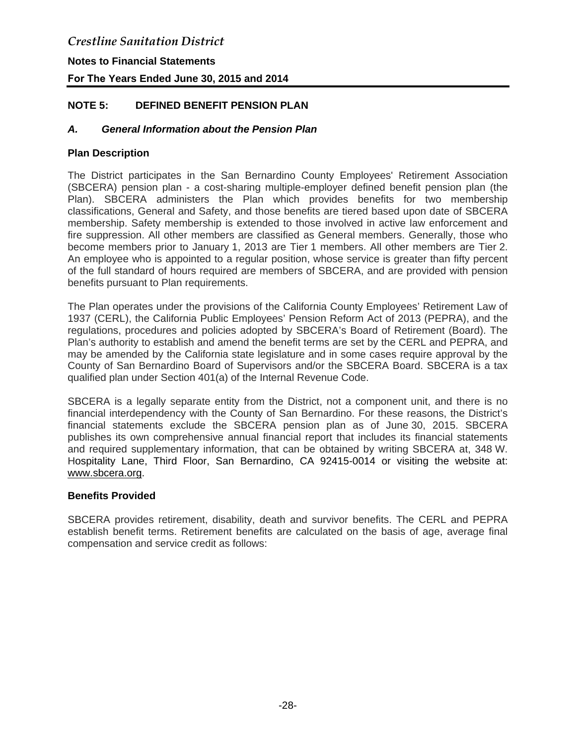#### **Notes to Financial Statements**

**For The Years Ended June 30, 2015 and 2014** 

### **NOTE 5: DEFINED BENEFIT PENSION PLAN**

#### *A. General Information about the Pension Plan*

#### **Plan Description**

The District participates in the San Bernardino County Employees' Retirement Association (SBCERA) pension plan - a cost-sharing multiple-employer defined benefit pension plan (the Plan). SBCERA administers the Plan which provides benefits for two membership classifications, General and Safety, and those benefits are tiered based upon date of SBCERA membership. Safety membership is extended to those involved in active law enforcement and fire suppression. All other members are classified as General members. Generally, those who become members prior to January 1, 2013 are Tier 1 members. All other members are Tier 2. An employee who is appointed to a regular position, whose service is greater than fifty percent of the full standard of hours required are members of SBCERA, and are provided with pension benefits pursuant to Plan requirements.

The Plan operates under the provisions of the California County Employees' Retirement Law of 1937 (CERL), the California Public Employees' Pension Reform Act of 2013 (PEPRA), and the regulations, procedures and policies adopted by SBCERA's Board of Retirement (Board). The Plan's authority to establish and amend the benefit terms are set by the CERL and PEPRA, and may be amended by the California state legislature and in some cases require approval by the County of San Bernardino Board of Supervisors and/or the SBCERA Board. SBCERA is a tax qualified plan under Section 401(a) of the Internal Revenue Code.

SBCERA is a legally separate entity from the District, not a component unit, and there is no financial interdependency with the County of San Bernardino. For these reasons, the District's financial statements exclude the SBCERA pension plan as of June 30, 2015. SBCERA publishes its own comprehensive annual financial report that includes its financial statements and required supplementary information, that can be obtained by writing SBCERA at, 348 W. Hospitality Lane, Third Floor, San Bernardino, CA 92415-0014 or visiting the website at: www.sbcera.org.

#### **Benefits Provided**

SBCERA provides retirement, disability, death and survivor benefits. The CERL and PEPRA establish benefit terms. Retirement benefits are calculated on the basis of age, average final compensation and service credit as follows: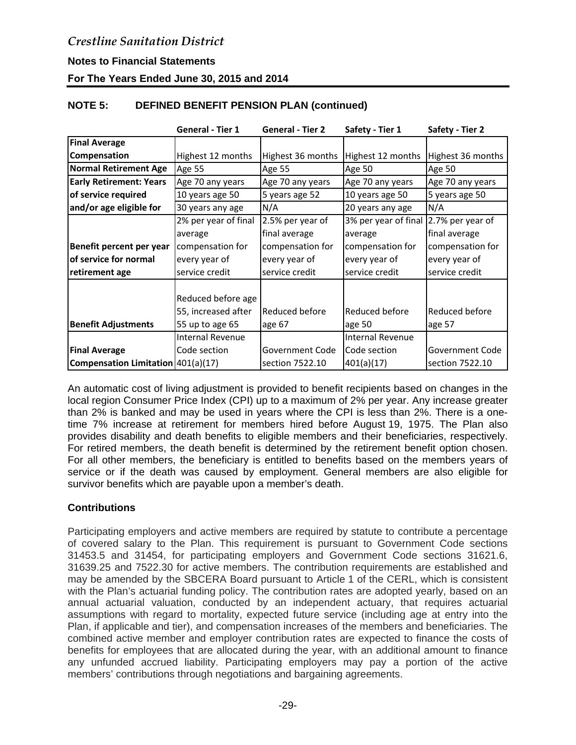#### **Notes to Financial Statements**

#### **For The Years Ended June 30, 2015 and 2014**

|                                    | <b>General - Tier 1</b> | <b>General - Tier 2</b> | Safety - Tier 1                       | Safety - Tier 2   |
|------------------------------------|-------------------------|-------------------------|---------------------------------------|-------------------|
| <b>Final Average</b>               |                         |                         |                                       |                   |
| Compensation                       | Highest 12 months       | Highest 36 months       | Highest 12 months                     | Highest 36 months |
| <b>Normal Retirement Age</b>       | <b>Age 55</b>           | Age 55                  | Age 50                                | Age 50            |
| <b>Early Retirement: Years</b>     | Age 70 any years        | Age 70 any years        | Age 70 any years                      | Age 70 any years  |
| of service required                | 10 years age 50         | 5 years age 52          | 10 years age 50                       | 5 years age 50    |
| and/or age eligible for            | 30 years any age        | N/A                     | 20 years any age                      | N/A               |
|                                    | 2% per year of final    | 2.5% per year of        | 3% per year of final 2.7% per year of |                   |
|                                    | average                 | final average           | average                               | final average     |
| Benefit percent per year           | compensation for        | compensation for        | compensation for                      | compensation for  |
| of service for normal              | every year of           | every year of           | every year of                         | every year of     |
| retirement age                     | service credit          | service credit          | service credit                        | service credit    |
|                                    | Reduced before age      |                         |                                       |                   |
|                                    | 55, increased after     | Reduced before          | Reduced before                        | Reduced before    |
| <b>Benefit Adjustments</b>         | 55 up to age 65         | age 67                  | age 50                                | age 57            |
|                                    | <b>Internal Revenue</b> |                         | Internal Revenue                      |                   |
| <b>Final Average</b>               | Code section            | Government Code         | Code section                          | Government Code   |
| Compensation Limitation 401(a)(17) |                         | section 7522.10         | 401(a)(17)                            | section 7522.10   |

### **NOTE 5: DEFINED BENEFIT PENSION PLAN (continued)**

An automatic cost of living adjustment is provided to benefit recipients based on changes in the local region Consumer Price Index (CPI) up to a maximum of 2% per year. Any increase greater than 2% is banked and may be used in years where the CPI is less than 2%. There is a onetime 7% increase at retirement for members hired before August 19, 1975. The Plan also provides disability and death benefits to eligible members and their beneficiaries, respectively. For retired members, the death benefit is determined by the retirement benefit option chosen. For all other members, the beneficiary is entitled to benefits based on the members years of service or if the death was caused by employment. General members are also eligible for survivor benefits which are payable upon a member's death.

### **Contributions**

Participating employers and active members are required by statute to contribute a percentage of covered salary to the Plan. This requirement is pursuant to Government Code sections 31453.5 and 31454, for participating employers and Government Code sections 31621.6, 31639.25 and 7522.30 for active members. The contribution requirements are established and may be amended by the SBCERA Board pursuant to Article 1 of the CERL, which is consistent with the Plan's actuarial funding policy. The contribution rates are adopted yearly, based on an annual actuarial valuation, conducted by an independent actuary, that requires actuarial assumptions with regard to mortality, expected future service (including age at entry into the Plan, if applicable and tier), and compensation increases of the members and beneficiaries. The combined active member and employer contribution rates are expected to finance the costs of benefits for employees that are allocated during the year, with an additional amount to finance any unfunded accrued liability. Participating employers may pay a portion of the active members' contributions through negotiations and bargaining agreements.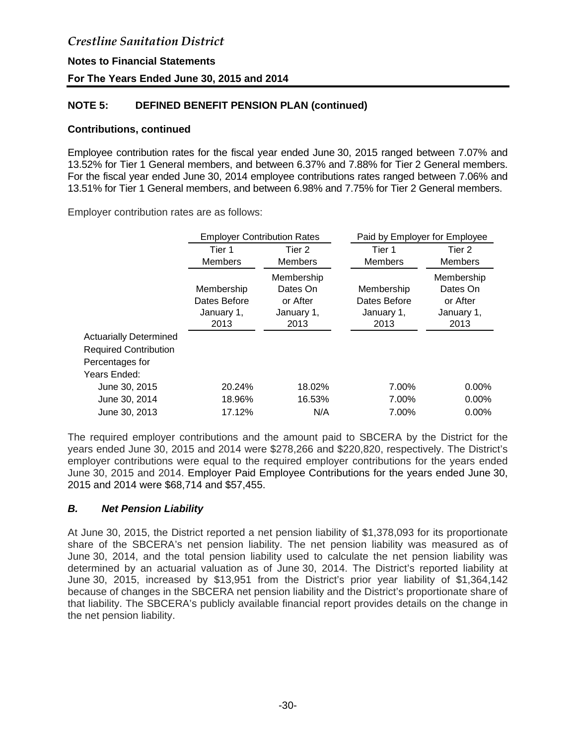#### **Notes to Financial Statements**

**For The Years Ended June 30, 2015 and 2014** 

### **NOTE 5: DEFINED BENEFIT PENSION PLAN (continued)**

#### **Contributions, continued**

Employee contribution rates for the fiscal year ended June 30, 2015 ranged between 7.07% and 13.52% for Tier 1 General members, and between 6.37% and 7.88% for Tier 2 General members. For the fiscal year ended June 30, 2014 employee contributions rates ranged between 7.06% and 13.51% for Tier 1 General members, and between 6.98% and 7.75% for Tier 2 General members.

Employer contribution rates are as follows:

|                               | <b>Employer Contribution Rates</b>               |                                                          | Paid by Employer for Employee                    |                                                          |
|-------------------------------|--------------------------------------------------|----------------------------------------------------------|--------------------------------------------------|----------------------------------------------------------|
|                               | Tier 1                                           | Tier 2                                                   | Tier 1                                           | Tier 2                                                   |
|                               | <b>Members</b>                                   | <b>Members</b>                                           | <b>Members</b>                                   | <b>Members</b>                                           |
|                               | Membership<br>Dates Before<br>January 1,<br>2013 | Membership<br>Dates On<br>or After<br>January 1,<br>2013 | Membership<br>Dates Before<br>January 1,<br>2013 | Membership<br>Dates On<br>or After<br>January 1,<br>2013 |
| <b>Actuarially Determined</b> |                                                  |                                                          |                                                  |                                                          |
| <b>Required Contribution</b>  |                                                  |                                                          |                                                  |                                                          |
| Percentages for               |                                                  |                                                          |                                                  |                                                          |
| Years Ended:                  |                                                  |                                                          |                                                  |                                                          |
| June 30, 2015                 | 20.24%                                           | 18.02%                                                   | 7.00%                                            | $0.00\%$                                                 |
| June 30, 2014                 | 18.96%                                           | 16.53%                                                   | 7.00%                                            | $0.00\%$                                                 |
| June 30, 2013                 | 17.12%                                           | N/A                                                      | 7.00%                                            | 0.00%                                                    |

The required employer contributions and the amount paid to SBCERA by the District for the years ended June 30, 2015 and 2014 were \$278,266 and \$220,820, respectively. The District's employer contributions were equal to the required employer contributions for the years ended June 30, 2015 and 2014. Employer Paid Employee Contributions for the years ended June 30, 2015 and 2014 were \$68,714 and \$57,455.

#### *B. Net Pension Liability*

At June 30, 2015, the District reported a net pension liability of \$1,378,093 for its proportionate share of the SBCERA's net pension liability. The net pension liability was measured as of June 30, 2014, and the total pension liability used to calculate the net pension liability was determined by an actuarial valuation as of June 30, 2014. The District's reported liability at June 30, 2015, increased by \$13,951 from the District's prior year liability of \$1,364,142 because of changes in the SBCERA net pension liability and the District's proportionate share of that liability. The SBCERA's publicly available financial report provides details on the change in the net pension liability.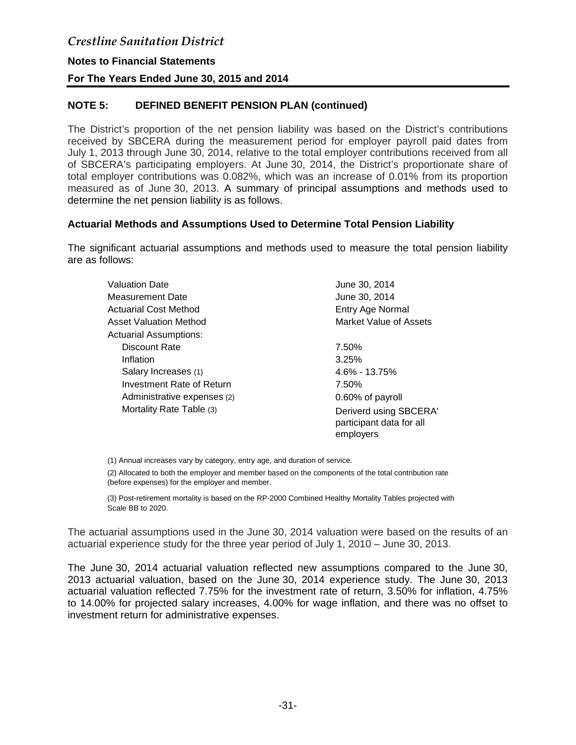#### **Notes to Financial Statements**

### **For The Years Ended June 30, 2015 and 2014**

### **NOTE 5: DEFINED BENEFIT PENSION PLAN (continued)**

The District's proportion of the net pension liability was based on the District's contributions received by SBCERA during the measurement period for employer payroll paid dates from July 1, 2013 through June 30, 2014, relative to the total employer contributions received from all of SBCERA's participating employers. At June 30, 2014, the District's proportionate share of total employer contributions was 0.082%, which was an increase of 0.01% from its proportion measured as of June 30, 2013. A summary of principal assumptions and methods used to determine the net pension liability is as follows.

### **Actuarial Methods and Assumptions Used to Determine Total Pension Liability**

The significant actuarial assumptions and methods used to measure the total pension liability are as follows:

| Valuation Date                | June 30, 2014                                                   |
|-------------------------------|-----------------------------------------------------------------|
| Measurement Date              | June 30, 2014                                                   |
| <b>Actuarial Cost Method</b>  | Entry Age Normal                                                |
| Asset Valuation Method        | Market Value of Assets                                          |
| <b>Actuarial Assumptions:</b> |                                                                 |
| Discount Rate                 | 7.50%                                                           |
| Inflation                     | 3.25%                                                           |
| Salary Increases (1)          | $4.6\% - 13.75\%$                                               |
| Investment Rate of Return     | 7.50%                                                           |
| Administrative expenses (2)   | 0.60% of payroll                                                |
| Mortality Rate Table (3)      | Deriverd using SBCERA'<br>participant data for all<br>employers |

(1) Annual increases vary by category, entry age, and duration of service.

(2) Allocated to both the employer and member based on the components of the total contribution rate (before expenses) for the employer and member.

(3) Post-retirement mortality is based on the RP-2000 Combined Healthy Mortality Tables projected with Scale BB to 2020.

The actuarial assumptions used in the June 30, 2014 valuation were based on the results of an actuarial experience study for the three year period of July 1, 2010 – June 30, 2013.

The June 30, 2014 actuarial valuation reflected new assumptions compared to the June 30, 2013 actuarial valuation, based on the June 30, 2014 experience study. The June 30, 2013 actuarial valuation reflected 7.75% for the investment rate of return, 3.50% for inflation, 4.75% to 14.00% for projected salary increases, 4.00% for wage inflation, and there was no offset to investment return for administrative expenses.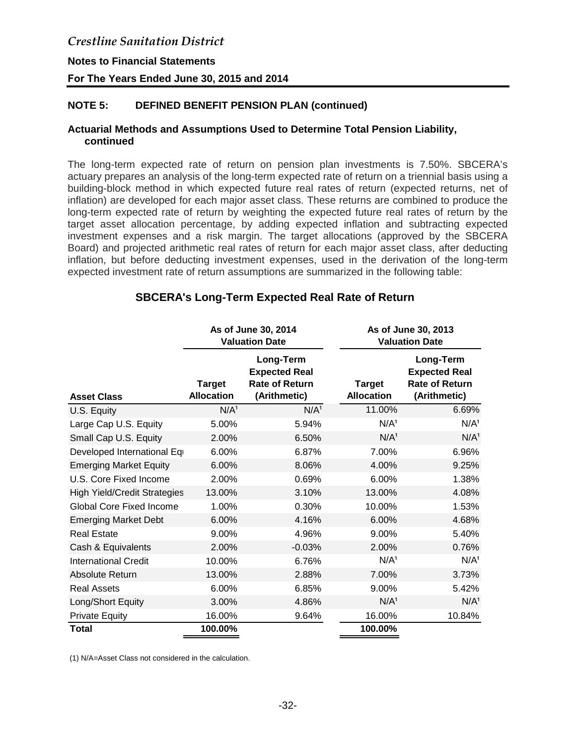#### **Notes to Financial Statements**

**For The Years Ended June 30, 2015 and 2014** 

#### **NOTE 5: DEFINED BENEFIT PENSION PLAN (continued)**

#### **Actuarial Methods and Assumptions Used to Determine Total Pension Liability, continued**

The long-term expected rate of return on pension plan investments is 7.50%. SBCERA's actuary prepares an analysis of the long-term expected rate of return on a triennial basis using a building-block method in which expected future real rates of return (expected returns, net of inflation) are developed for each major asset class. These returns are combined to produce the long-term expected rate of return by weighting the expected future real rates of return by the target asset allocation percentage, by adding expected inflation and subtracting expected investment expenses and a risk margin. The target allocations (approved by the SBCERA Board) and projected arithmetic real rates of return for each major asset class, after deducting inflation, but before deducting investment expenses, used in the derivation of the long-term expected investment rate of return assumptions are summarized in the following table:

|                                     | As of June 30, 2014<br><b>Valuation Date</b> |                                                                            |                  | As of June 30, 2013<br><b>Valuation Date</b>                               |
|-------------------------------------|----------------------------------------------|----------------------------------------------------------------------------|------------------|----------------------------------------------------------------------------|
| <b>Asset Class</b>                  | <b>Target</b><br><b>Allocation</b>           | Long-Term<br><b>Expected Real</b><br><b>Rate of Return</b><br>(Arithmetic) |                  | Long-Term<br><b>Expected Real</b><br><b>Rate of Return</b><br>(Arithmetic) |
| U.S. Equity                         | N/A <sup>1</sup>                             | N/A <sup>1</sup>                                                           | 11.00%           | 6.69%                                                                      |
| Large Cap U.S. Equity               | 5.00%                                        | 5.94%                                                                      | N/A <sup>1</sup> | N/A <sup>1</sup>                                                           |
| Small Cap U.S. Equity               | 2.00%                                        | 6.50%                                                                      | N/A <sup>1</sup> | N/A <sup>1</sup>                                                           |
| Developed International Eq          | 6.00%                                        | 6.87%                                                                      | 7.00%            | 6.96%                                                                      |
| <b>Emerging Market Equity</b>       | 6.00%                                        | 8.06%                                                                      | 4.00%            | 9.25%                                                                      |
| U.S. Core Fixed Income              | 2.00%                                        | 0.69%                                                                      | 6.00%            | 1.38%                                                                      |
| <b>High Yield/Credit Strategies</b> | 13.00%                                       | 3.10%                                                                      | 13.00%           | 4.08%                                                                      |
| <b>Global Core Fixed Income</b>     | 1.00%                                        | 0.30%                                                                      | 10.00%           | 1.53%                                                                      |
| <b>Emerging Market Debt</b>         | 6.00%                                        | 4.16%                                                                      | 6.00%            | 4.68%                                                                      |
| <b>Real Estate</b>                  | 9.00%                                        | 4.96%                                                                      | 9.00%            | 5.40%                                                                      |
| Cash & Equivalents                  | 2.00%                                        | $-0.03%$                                                                   | 2.00%            | 0.76%                                                                      |
| <b>International Credit</b>         | 10.00%                                       | 6.76%                                                                      | N/A <sup>1</sup> | N/A <sup>1</sup>                                                           |
| Absolute Return                     | 13.00%                                       | 2.88%                                                                      | 7.00%            | 3.73%                                                                      |
| <b>Real Assets</b>                  | 6.00%                                        | 6.85%                                                                      | 9.00%            | 5.42%                                                                      |
| Long/Short Equity                   | 3.00%                                        | 4.86%                                                                      | N/A <sup>1</sup> | N/A <sup>1</sup>                                                           |
| <b>Private Equity</b>               | 16.00%                                       | 9.64%                                                                      | 16.00%           | 10.84%                                                                     |
| <b>Total</b>                        | 100.00%                                      |                                                                            | 100.00%          |                                                                            |

#### **SBCERA's Long-Term Expected Real Rate of Return**

(1) N/A=Asset Class not considered in the calculation.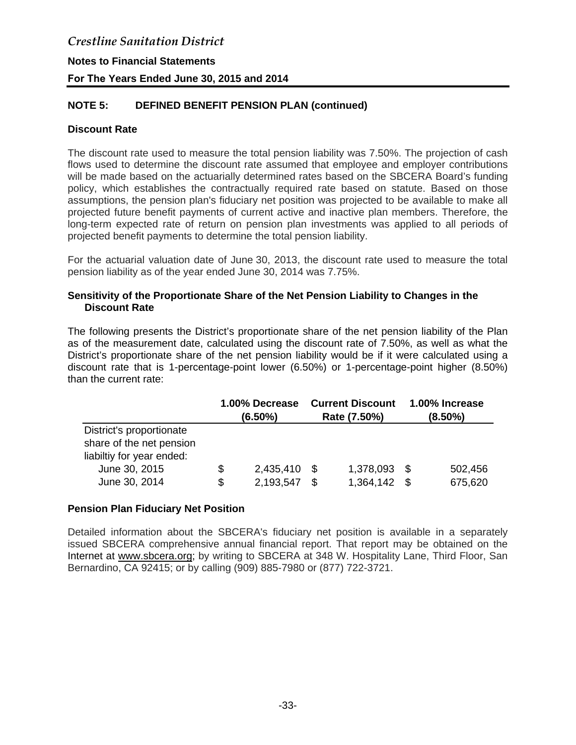#### **Notes to Financial Statements**

#### **For The Years Ended June 30, 2015 and 2014**

#### **NOTE 5: DEFINED BENEFIT PENSION PLAN (continued)**

#### **Discount Rate**

The discount rate used to measure the total pension liability was 7.50%. The projection of cash flows used to determine the discount rate assumed that employee and employer contributions will be made based on the actuarially determined rates based on the SBCERA Board's funding policy, which establishes the contractually required rate based on statute. Based on those assumptions, the pension plan's fiduciary net position was projected to be available to make all projected future benefit payments of current active and inactive plan members. Therefore, the long-term expected rate of return on pension plan investments was applied to all periods of projected benefit payments to determine the total pension liability.

For the actuarial valuation date of June 30, 2013, the discount rate used to measure the total pension liability as of the year ended June 30, 2014 was 7.75%.

#### **Sensitivity of the Proportionate Share of the Net Pension Liability to Changes in the Discount Rate**

The following presents the District's proportionate share of the net pension liability of the Plan as of the measurement date, calculated using the discount rate of 7.50%, as well as what the District's proportionate share of the net pension liability would be if it were calculated using a discount rate that is 1-percentage-point lower (6.50%) or 1-percentage-point higher (8.50%) than the current rate:

|                           | 1.00% Decrease<br>(6.50%) |      | <b>Current Discount</b><br>Rate (7.50%) |    | 1.00% Increase<br>$(8.50\%)$ |
|---------------------------|---------------------------|------|-----------------------------------------|----|------------------------------|
| District's proportionate  |                           |      |                                         |    |                              |
| share of the net pension  |                           |      |                                         |    |                              |
| liabiltiy for year ended: |                           |      |                                         |    |                              |
| June 30, 2015             | \$<br>2,435,410           | - \$ | 1,378,093                               | -S | 502,456                      |
| June 30, 2014             | \$<br>2,193,547           | \$   | 1,364,142                               |    | 675,620                      |

#### **Pension Plan Fiduciary Net Position**

Detailed information about the SBCERA's fiduciary net position is available in a separately issued SBCERA comprehensive annual financial report. That report may be obtained on the Internet at www.sbcera.org; by writing to SBCERA at 348 W. Hospitality Lane, Third Floor, San Bernardino, CA 92415; or by calling (909) 885-7980 or (877) 722-3721.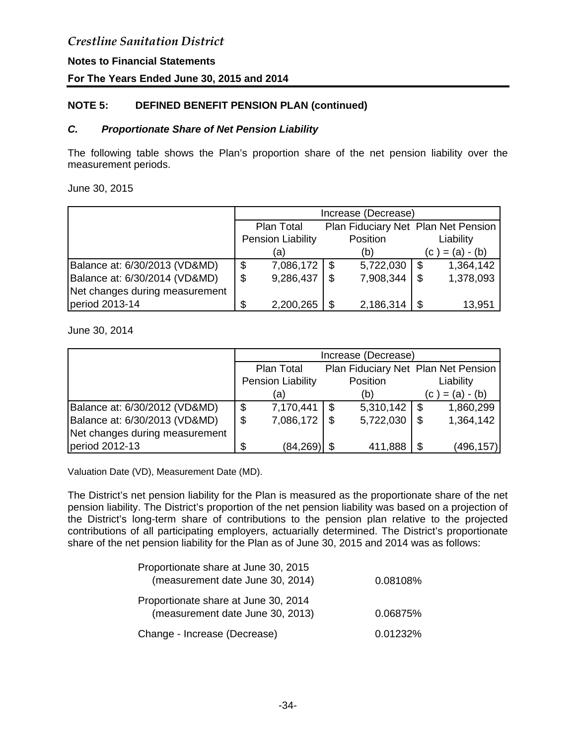#### **Notes to Financial Statements**

#### **For The Years Ended June 30, 2015 and 2014**

#### **NOTE 5: DEFINED BENEFIT PENSION PLAN (continued)**

#### *C. Proportionate Share of Net Pension Liability*

The following table shows the Plan's proportion share of the net pension liability over the measurement periods.

June 30, 2015

|                                |                          | Increase (Decrease) |                                     |           |           |                   |  |  |  |
|--------------------------------|--------------------------|---------------------|-------------------------------------|-----------|-----------|-------------------|--|--|--|
|                                | Plan Total               |                     | Plan Fiduciary Net Plan Net Pension |           |           |                   |  |  |  |
|                                | <b>Pension Liability</b> |                     | Position                            |           | Liability |                   |  |  |  |
|                                |                          | (a)                 |                                     | (b)       |           | $(c) = (a) - (b)$ |  |  |  |
| Balance at: 6/30/2013 (VD&MD)  | \$                       | 7,086,172           | \$                                  | 5,722,030 | \$        | 1,364,142         |  |  |  |
| Balance at: 6/30/2014 (VD&MD)  | \$                       | 9,286,437           |                                     | 7,908,344 |           | 1,378,093         |  |  |  |
| Net changes during measurement |                          |                     |                                     |           |           |                   |  |  |  |
| period 2013-14                 | \$                       | 2,200,265           |                                     | 2,186,314 |           | 13,951            |  |  |  |

June 30, 2014

|                                | Increase (Decrease)   |                               |                                     |           |           |                   |  |
|--------------------------------|-----------------------|-------------------------------|-------------------------------------|-----------|-----------|-------------------|--|
|                                |                       | Plan Total                    | Plan Fiduciary Net Plan Net Pension |           |           |                   |  |
|                                |                       | Pension Liability<br>Position |                                     |           | Liability |                   |  |
|                                |                       | (a)                           | (b)                                 |           |           | $(c) = (a) - (b)$ |  |
| Balance at: 6/30/2012 (VD&MD)  | \$                    | 7,170,441                     | \$                                  | 5,310,142 | . \$      | 1,860,299         |  |
| Balance at: 6/30/2013 (VD&MD)  | $\boldsymbol{\theta}$ | 7,086,172                     |                                     | 5,722,030 |           | 1,364,142         |  |
| Net changes during measurement |                       |                               |                                     |           |           |                   |  |
| period 2012-13                 | \$                    | $(84,269)$ \$                 |                                     | 411,888   |           | (496, 157)        |  |

Valuation Date (VD), Measurement Date (MD).

The District's net pension liability for the Plan is measured as the proportionate share of the net pension liability. The District's proportion of the net pension liability was based on a projection of the District's long-term share of contributions to the pension plan relative to the projected contributions of all participating employers, actuarially determined. The District's proportionate share of the net pension liability for the Plan as of June 30, 2015 and 2014 was as follows:

| Proportionate share at June 30, 2015<br>(measurement date June 30, 2014) | 0.08108% |
|--------------------------------------------------------------------------|----------|
| Proportionate share at June 30, 2014<br>(measurement date June 30, 2013) | 0.06875% |
| Change - Increase (Decrease)                                             | 0.01232% |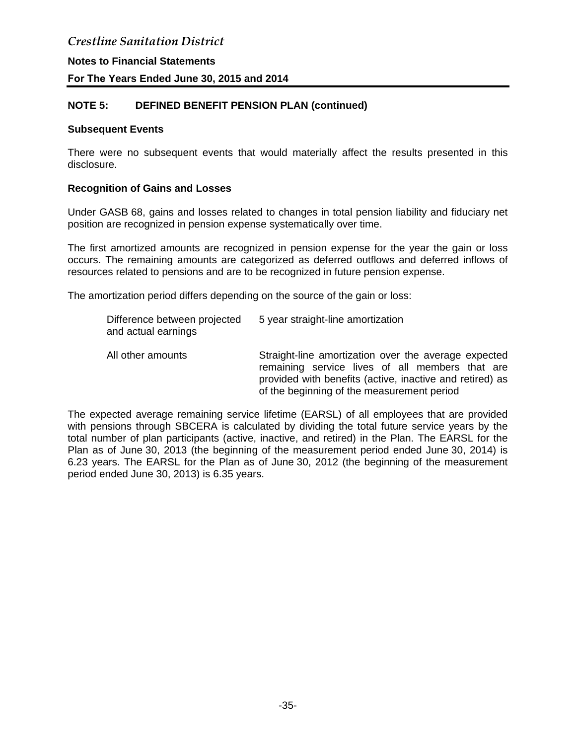#### **Notes to Financial Statements**

#### **For The Years Ended June 30, 2015 and 2014**

#### **NOTE 5: DEFINED BENEFIT PENSION PLAN (continued)**

#### **Subsequent Events**

There were no subsequent events that would materially affect the results presented in this disclosure.

#### **Recognition of Gains and Losses**

Under GASB 68, gains and losses related to changes in total pension liability and fiduciary net position are recognized in pension expense systematically over time.

The first amortized amounts are recognized in pension expense for the year the gain or loss occurs. The remaining amounts are categorized as deferred outflows and deferred inflows of resources related to pensions and are to be recognized in future pension expense.

The amortization period differs depending on the source of the gain or loss:

| Difference between projected<br>and actual earnings | 5 year straight-line amortization                                                                                                                                                                                 |
|-----------------------------------------------------|-------------------------------------------------------------------------------------------------------------------------------------------------------------------------------------------------------------------|
| All other amounts                                   | Straight-line amortization over the average expected<br>remaining service lives of all members that are<br>provided with benefits (active, inactive and retired) as<br>of the beginning of the measurement period |

The expected average remaining service lifetime (EARSL) of all employees that are provided with pensions through SBCERA is calculated by dividing the total future service years by the total number of plan participants (active, inactive, and retired) in the Plan. The EARSL for the Plan as of June 30, 2013 (the beginning of the measurement period ended June 30, 2014) is 6.23 years. The EARSL for the Plan as of June 30, 2012 (the beginning of the measurement period ended June 30, 2013) is 6.35 years.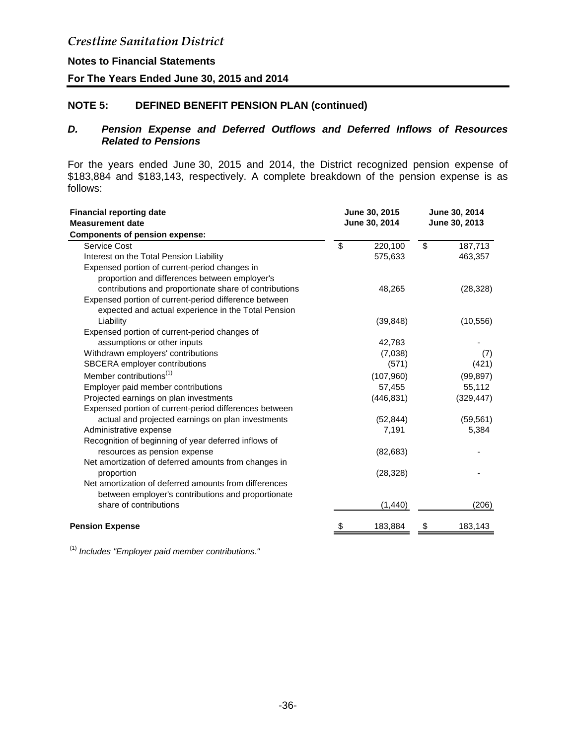#### **Notes to Financial Statements**

**For The Years Ended June 30, 2015 and 2014** 

### **NOTE 5: DEFINED BENEFIT PENSION PLAN (continued)**

#### *D. Pension Expense and Deferred Outflows and Deferred Inflows of Resources Related to Pensions*

For the years ended June 30, 2015 and 2014, the District recognized pension expense of \$183,884 and \$183,143, respectively. A complete breakdown of the pension expense is as follows:

| <b>Financial reporting date</b><br><b>Measurement date</b><br><b>Components of pension expense:</b> |    | June 30, 2015<br>June 30, 2014 | June 30, 2014<br>June 30, 2013 |            |
|-----------------------------------------------------------------------------------------------------|----|--------------------------------|--------------------------------|------------|
| Service Cost                                                                                        | \$ | 220,100                        | \$                             | 187,713    |
| Interest on the Total Pension Liability                                                             |    | 575,633                        |                                | 463,357    |
| Expensed portion of current-period changes in                                                       |    |                                |                                |            |
| proportion and differences between employer's                                                       |    |                                |                                |            |
| contributions and proportionate share of contributions                                              |    | 48,265                         |                                | (28, 328)  |
| Expensed portion of current-period difference between                                               |    |                                |                                |            |
| expected and actual experience in the Total Pension                                                 |    |                                |                                |            |
| Liability                                                                                           |    | (39, 848)                      |                                | (10, 556)  |
| Expensed portion of current-period changes of                                                       |    |                                |                                |            |
| assumptions or other inputs                                                                         |    | 42,783                         |                                |            |
| Withdrawn employers' contributions                                                                  |    | (7,038)                        |                                | (7)        |
| SBCERA employer contributions                                                                       |    | (571)                          |                                | (421)      |
| Member contributions <sup>(1)</sup>                                                                 |    | (107,960)                      |                                | (99, 897)  |
| Employer paid member contributions                                                                  |    | 57,455                         |                                | 55,112     |
| Projected earnings on plan investments                                                              |    | (446, 831)                     |                                | (329, 447) |
| Expensed portion of current-period differences between                                              |    |                                |                                |            |
| actual and projected earnings on plan investments                                                   |    | (52, 844)                      |                                | (59, 561)  |
| Administrative expense                                                                              |    | 7,191                          |                                | 5,384      |
| Recognition of beginning of year deferred inflows of                                                |    |                                |                                |            |
| resources as pension expense                                                                        |    | (82, 683)                      |                                |            |
| Net amortization of deferred amounts from changes in                                                |    |                                |                                |            |
| proportion                                                                                          |    | (28, 328)                      |                                |            |
| Net amortization of deferred amounts from differences                                               |    |                                |                                |            |
| between employer's contributions and proportionate                                                  |    |                                |                                |            |
| share of contributions                                                                              |    | (1, 440)                       |                                | (206)      |
| <b>Pension Expense</b>                                                                              |    | 183,884                        | \$                             | 183,143    |

(1) *Includes "Employer paid member contributions."*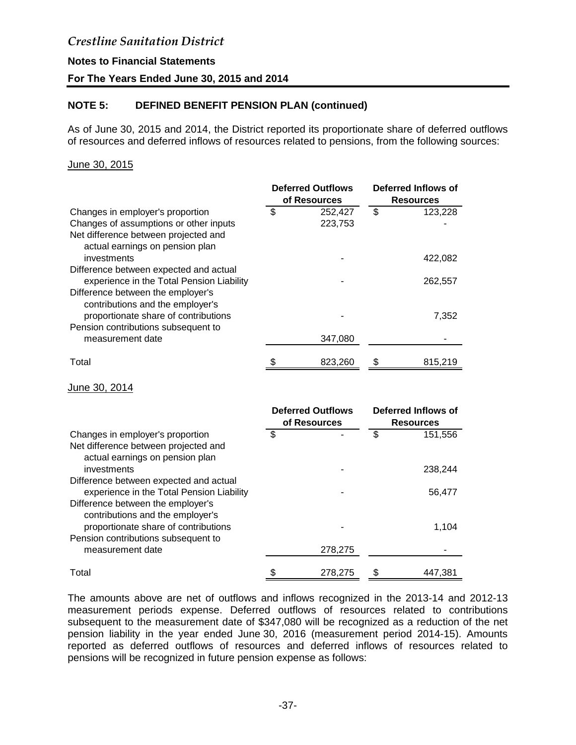#### **Notes to Financial Statements**

#### **For The Years Ended June 30, 2015 and 2014**

#### **NOTE 5: DEFINED BENEFIT PENSION PLAN (continued)**

As of June 30, 2015 and 2014, the District reported its proportionate share of deferred outflows of resources and deferred inflows of resources related to pensions, from the following sources:

#### June 30, 2015

|                                                                                     | <b>Deferred Outflows</b><br>of Resources | <b>Deferred Inflows of</b><br><b>Resources</b> |         |  |
|-------------------------------------------------------------------------------------|------------------------------------------|------------------------------------------------|---------|--|
| Changes in employer's proportion                                                    | \$<br>252,427                            | \$                                             | 123,228 |  |
| Changes of assumptions or other inputs                                              | 223,753                                  |                                                |         |  |
| Net difference between projected and<br>actual earnings on pension plan             |                                          |                                                |         |  |
| investments                                                                         |                                          |                                                | 422,082 |  |
| Difference between expected and actual<br>experience in the Total Pension Liability |                                          |                                                | 262,557 |  |
| Difference between the employer's<br>contributions and the employer's               |                                          |                                                |         |  |
| proportionate share of contributions                                                |                                          |                                                | 7,352   |  |
| Pension contributions subsequent to<br>measurement date                             | 347,080                                  |                                                |         |  |
| Total                                                                               | 823,260                                  |                                                | 815,219 |  |

June 30, 2014

|                                                                                     | <b>Deferred Outflows</b><br>of Resources | Deferred Inflows of<br><b>Resources</b> |         |  |
|-------------------------------------------------------------------------------------|------------------------------------------|-----------------------------------------|---------|--|
| Changes in employer's proportion                                                    | \$                                       | \$                                      | 151,556 |  |
| Net difference between projected and<br>actual earnings on pension plan             |                                          |                                         |         |  |
| investments                                                                         |                                          |                                         | 238,244 |  |
| Difference between expected and actual<br>experience in the Total Pension Liability |                                          |                                         | 56,477  |  |
| Difference between the employer's<br>contributions and the employer's               |                                          |                                         |         |  |
| proportionate share of contributions                                                |                                          |                                         | 1,104   |  |
| Pension contributions subsequent to                                                 |                                          |                                         |         |  |
| measurement date                                                                    | 278,275                                  |                                         |         |  |
| Total                                                                               | \$<br>278,275                            | S                                       | 447.381 |  |

The amounts above are net of outflows and inflows recognized in the 2013-14 and 2012-13 measurement periods expense. Deferred outflows of resources related to contributions subsequent to the measurement date of \$347,080 will be recognized as a reduction of the net pension liability in the year ended June 30, 2016 (measurement period 2014-15). Amounts reported as deferred outflows of resources and deferred inflows of resources related to pensions will be recognized in future pension expense as follows: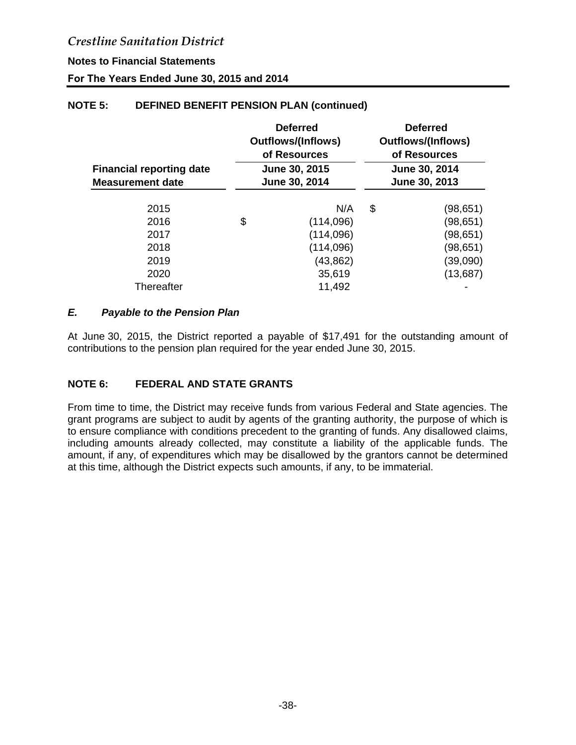#### **Notes to Financial Statements**

**For The Years Ended June 30, 2015 and 2014** 

|                                                            | <b>Deferred</b><br><b>Outflows/(Inflows)</b><br>of Resources | <b>Deferred</b><br><b>Outflows/(Inflows)</b><br>of Resources |  |  |  |
|------------------------------------------------------------|--------------------------------------------------------------|--------------------------------------------------------------|--|--|--|
| <b>Financial reporting date</b><br><b>Measurement date</b> | June 30, 2015<br>June 30, 2014                               | June 30, 2014<br>June 30, 2013                               |  |  |  |
|                                                            |                                                              |                                                              |  |  |  |
| 2015                                                       | N/A                                                          | \$<br>(98, 651)                                              |  |  |  |
| 2016                                                       | \$<br>(114,096)                                              | (98, 651)                                                    |  |  |  |
| 2017                                                       | (114,096)                                                    | (98, 651)                                                    |  |  |  |
| 2018                                                       | (114,096)                                                    | (98, 651)                                                    |  |  |  |
| 2019                                                       | (43, 862)                                                    | (39,090)                                                     |  |  |  |
| 2020                                                       | 35,619                                                       | (13,687)                                                     |  |  |  |
| Thereafter                                                 | 11,492                                                       |                                                              |  |  |  |

#### **NOTE 5: DEFINED BENEFIT PENSION PLAN (continued)**

#### *E. Payable to the Pension Plan*

At June 30, 2015, the District reported a payable of \$17,491 for the outstanding amount of contributions to the pension plan required for the year ended June 30, 2015.

#### **NOTE 6: FEDERAL AND STATE GRANTS**

From time to time, the District may receive funds from various Federal and State agencies. The grant programs are subject to audit by agents of the granting authority, the purpose of which is to ensure compliance with conditions precedent to the granting of funds. Any disallowed claims, including amounts already collected, may constitute a liability of the applicable funds. The amount, if any, of expenditures which may be disallowed by the grantors cannot be determined at this time, although the District expects such amounts, if any, to be immaterial.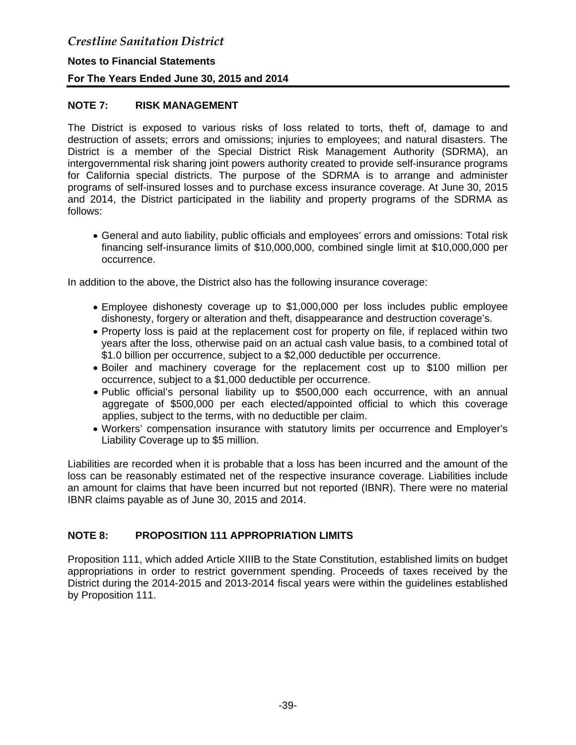#### **Notes to Financial Statements**

### **For The Years Ended June 30, 2015 and 2014**

#### **NOTE 7: RISK MANAGEMENT**

The District is exposed to various risks of loss related to torts, theft of, damage to and destruction of assets; errors and omissions; injuries to employees; and natural disasters. The District is a member of the Special District Risk Management Authority (SDRMA), an intergovernmental risk sharing joint powers authority created to provide self-insurance programs for California special districts. The purpose of the SDRMA is to arrange and administer programs of self-insured losses and to purchase excess insurance coverage. At June 30, 2015 and 2014, the District participated in the liability and property programs of the SDRMA as follows:

 General and auto liability, public officials and employees' errors and omissions: Total risk financing self-insurance limits of \$10,000,000, combined single limit at \$10,000,000 per occurrence.

In addition to the above, the District also has the following insurance coverage:

- Employee dishonesty coverage up to \$1,000,000 per loss includes public employee dishonesty, forgery or alteration and theft, disappearance and destruction coverage's.
- Property loss is paid at the replacement cost for property on file, if replaced within two years after the loss, otherwise paid on an actual cash value basis, to a combined total of \$1.0 billion per occurrence, subject to a \$2,000 deductible per occurrence.
- Boiler and machinery coverage for the replacement cost up to \$100 million per occurrence, subject to a \$1,000 deductible per occurrence.
- Public official's personal liability up to \$500,000 each occurrence, with an annual aggregate of \$500,000 per each elected/appointed official to which this coverage applies, subject to the terms, with no deductible per claim.
- Workers' compensation insurance with statutory limits per occurrence and Employer's Liability Coverage up to \$5 million.

Liabilities are recorded when it is probable that a loss has been incurred and the amount of the loss can be reasonably estimated net of the respective insurance coverage. Liabilities include an amount for claims that have been incurred but not reported (IBNR). There were no material IBNR claims payable as of June 30, 2015 and 2014.

### **NOTE 8: PROPOSITION 111 APPROPRIATION LIMITS**

Proposition 111, which added Article XIIIB to the State Constitution, established limits on budget appropriations in order to restrict government spending. Proceeds of taxes received by the District during the 2014-2015 and 2013-2014 fiscal years were within the guidelines established by Proposition 111.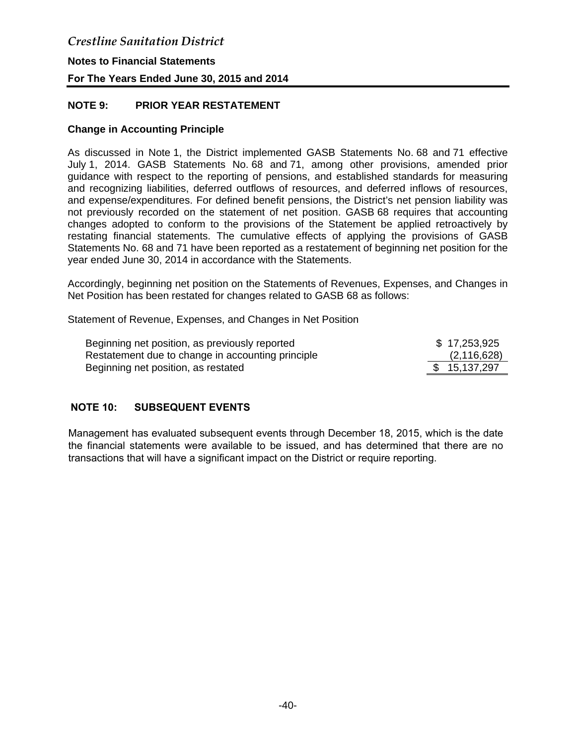#### **Notes to Financial Statements**

#### **For The Years Ended June 30, 2015 and 2014**

#### **NOTE 9: PRIOR YEAR RESTATEMENT**

#### **Change in Accounting Principle**

As discussed in Note 1, the District implemented GASB Statements No. 68 and 71 effective July 1, 2014. GASB Statements No. 68 and 71, among other provisions, amended prior guidance with respect to the reporting of pensions, and established standards for measuring and recognizing liabilities, deferred outflows of resources, and deferred inflows of resources, and expense/expenditures. For defined benefit pensions, the District's net pension liability was not previously recorded on the statement of net position. GASB 68 requires that accounting changes adopted to conform to the provisions of the Statement be applied retroactively by restating financial statements. The cumulative effects of applying the provisions of GASB Statements No. 68 and 71 have been reported as a restatement of beginning net position for the year ended June 30, 2014 in accordance with the Statements.

Accordingly, beginning net position on the Statements of Revenues, Expenses, and Changes in Net Position has been restated for changes related to GASB 68 as follows:

Statement of Revenue, Expenses, and Changes in Net Position

| Beginning net position, as previously reported    | \$17,253,925  |
|---------------------------------------------------|---------------|
| Restatement due to change in accounting principle | (2, 116, 628) |
| Beginning net position, as restated               | \$15,137,297  |

#### **NOTE 10: SUBSEQUENT EVENTS**

Management has evaluated subsequent events through December 18, 2015, which is the date the financial statements were available to be issued, and has determined that there are no transactions that will have a significant impact on the District or require reporting.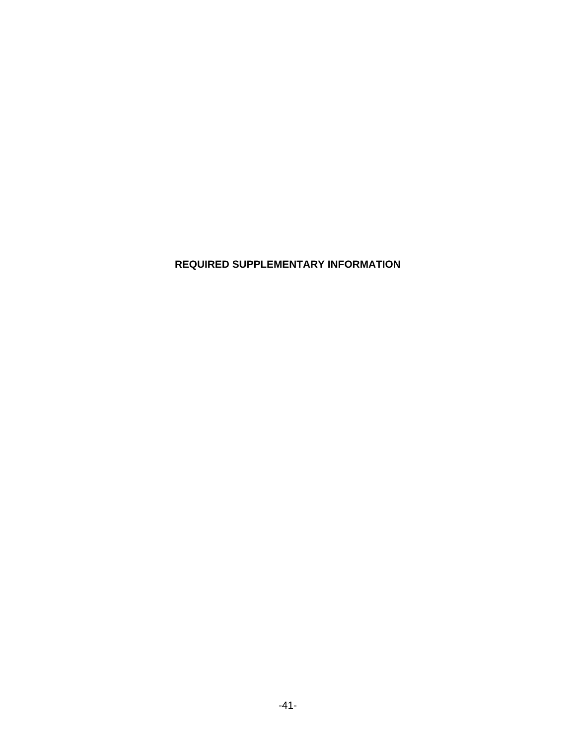### **REQUIRED SUPPLEMENTARY INFORMATION**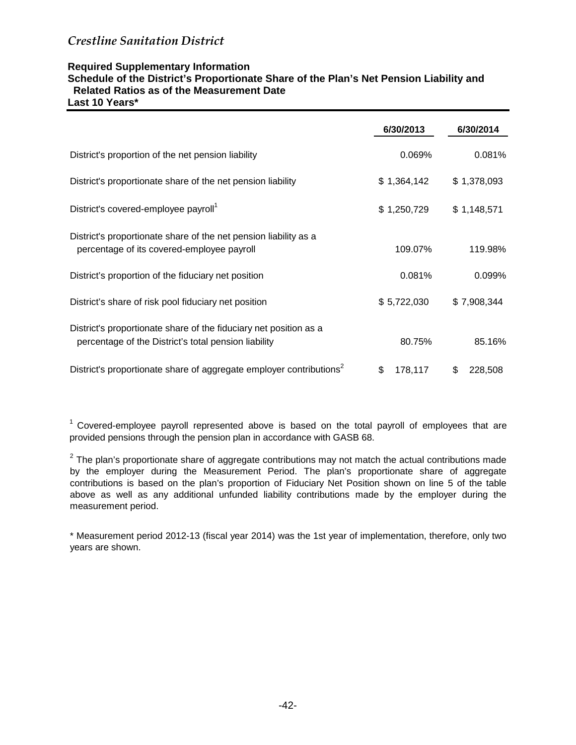#### **Required Supplementary Information**

**Schedule of the District's Proportionate Share of the Plan's Net Pension Liability and Related Ratios as of the Measurement Date Last 10 Years\*** 

**6/30/2013 6/30/2014** District's proportion of the net pension liability  $0.069\%$  0.069% 0.081% District's proportionate share of the net pension liability 1,364,142 \$ 1,378,093 District's covered-employee payroll<sup>1</sup>  $$ 1,250,729$   $$ 1,148,571$ District's proportionate share of the net pension liability as a percentage of its covered-employee payroll 109.07% 119.98% District's proportion of the fiduciary net position  $0.081\%$  0.081% 0.099% District's share of risk pool fiduciary net position 5,722,030 \$ 7,908,344 District's proportionate share of the fiduciary net position as a percentage of the District's total pension liability  $80.75\%$  85.16% District's proportionate share of aggregate employer contributions<sup>2</sup>  $\frac{1}{3}$  178,117  $\frac{1}{3}$  228,508

 $1$  Covered-employee payroll represented above is based on the total payroll of employees that are provided pensions through the pension plan in accordance with GASB 68.

 $2$  The plan's proportionate share of aggregate contributions may not match the actual contributions made by the employer during the Measurement Period. The plan's proportionate share of aggregate contributions is based on the plan's proportion of Fiduciary Net Position shown on line 5 of the table above as well as any additional unfunded liability contributions made by the employer during the measurement period.

\* Measurement period 2012-13 (fiscal year 2014) was the 1st year of implementation, therefore, only two years are shown.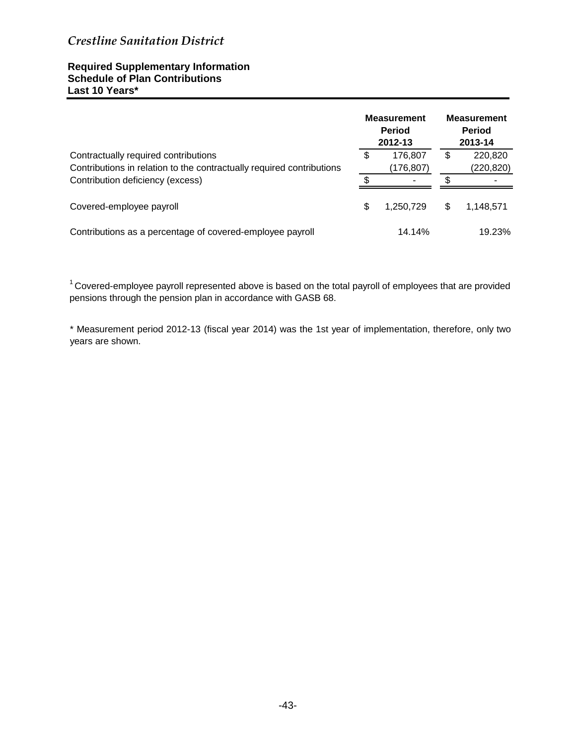#### **Required Supplementary Information Schedule of Plan Contributions Last 10 Years\***

|                                                                                                                                                   |    | <b>Measurement</b><br><b>Period</b><br>2012-13 | <b>Measurement</b><br><b>Period</b><br>2013-14 |                      |  |
|---------------------------------------------------------------------------------------------------------------------------------------------------|----|------------------------------------------------|------------------------------------------------|----------------------|--|
| Contractually required contributions<br>Contributions in relation to the contractually required contributions<br>Contribution deficiency (excess) | S  | 176,807<br>(176,807)<br>٠                      | S                                              | 220,820<br>(220,820) |  |
| Covered-employee payroll                                                                                                                          | \$ | 1,250,729                                      | S                                              | 1,148,571            |  |
| Contributions as a percentage of covered-employee payroll                                                                                         |    | 14.14%                                         |                                                | 19.23%               |  |

1 Covered-employee payroll represented above is based on the total payroll of employees that are provided pensions through the pension plan in accordance with GASB 68.

\* Measurement period 2012-13 (fiscal year 2014) was the 1st year of implementation, therefore, only two years are shown.